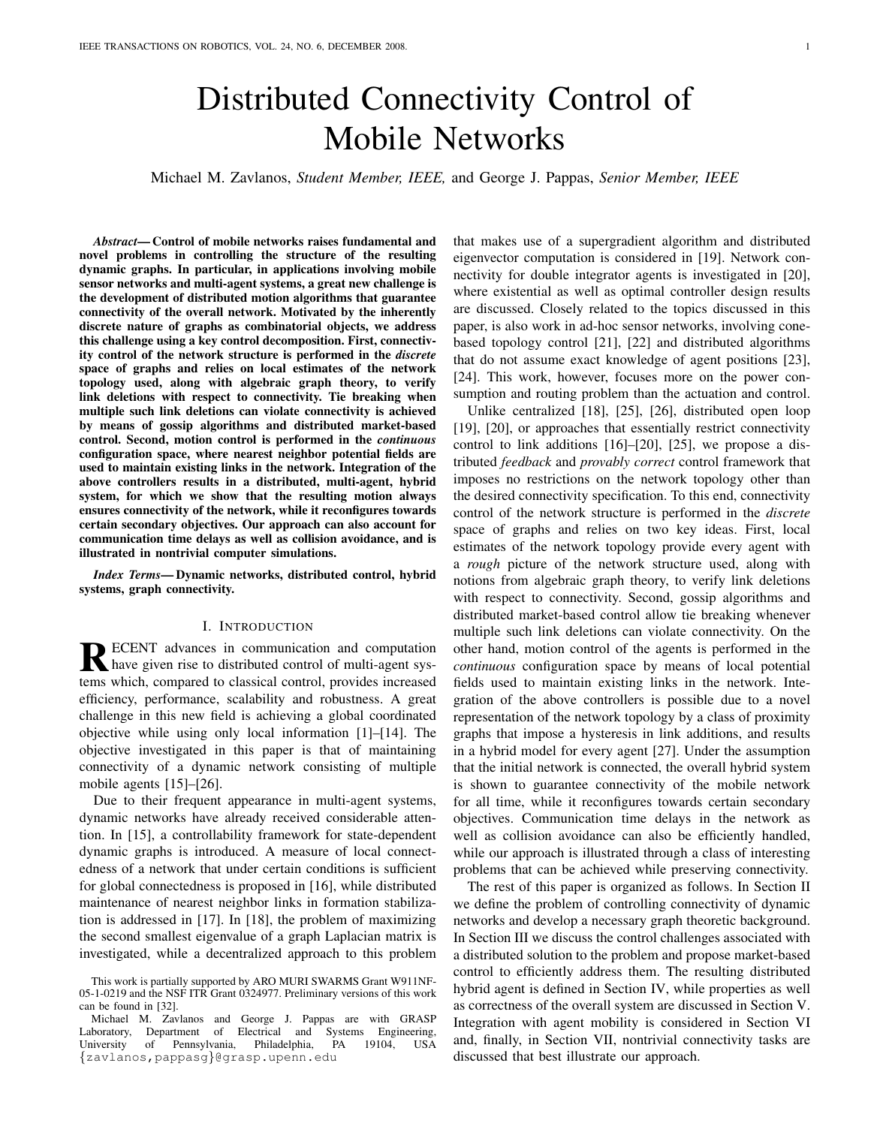# Distributed Connectivity Control of Mobile Networks

Michael M. Zavlanos, *Student Member, IEEE,* and George J. Pappas, *Senior Member, IEEE*

*Abstract*— Control of mobile networks raises fundamental and novel problems in controlling the structure of the resulting dynamic graphs. In particular, in applications involving mobile sensor networks and multi-agent systems, a great new challenge is the development of distributed motion algorithms that guarantee connectivity of the overall network. Motivated by the inherently discrete nature of graphs as combinatorial objects, we address this challenge using a key control decomposition. First, connectivity control of the network structure is performed in the *discrete* space of graphs and relies on local estimates of the network topology used, along with algebraic graph theory, to verify link deletions with respect to connectivity. Tie breaking when multiple such link deletions can violate connectivity is achieved by means of gossip algorithms and distributed market-based control. Second, motion control is performed in the *continuous* configuration space, where nearest neighbor potential fields are used to maintain existing links in the network. Integration of the above controllers results in a distributed, multi-agent, hybrid system, for which we show that the resulting motion always ensures connectivity of the network, while it reconfigures towards certain secondary objectives. Our approach can also account for communication time delays as well as collision avoidance, and is illustrated in nontrivial computer simulations.

*Index Terms*— Dynamic networks, distributed control, hybrid systems, graph connectivity.

## I. INTRODUCTION

R ECENT advances in communication and computation<br>have given rise to distributed control of multi-agent syshave given rise to distributed control of multi-agent systems which, compared to classical control, provides increased efficiency, performance, scalability and robustness. A great challenge in this new field is achieving a global coordinated objective while using only local information [1]–[14]. The objective investigated in this paper is that of maintaining connectivity of a dynamic network consisting of multiple mobile agents [15]–[26].

Due to their frequent appearance in multi-agent systems, dynamic networks have already received considerable attention. In [15], a controllability framework for state-dependent dynamic graphs is introduced. A measure of local connectedness of a network that under certain conditions is sufficient for global connectedness is proposed in [16], while distributed maintenance of nearest neighbor links in formation stabilization is addressed in [17]. In [18], the problem of maximizing the second smallest eigenvalue of a graph Laplacian matrix is investigated, while a decentralized approach to this problem

that makes use of a supergradient algorithm and distributed eigenvector computation is considered in [19]. Network connectivity for double integrator agents is investigated in [20], where existential as well as optimal controller design results are discussed. Closely related to the topics discussed in this paper, is also work in ad-hoc sensor networks, involving conebased topology control [21], [22] and distributed algorithms that do not assume exact knowledge of agent positions [23], [24]. This work, however, focuses more on the power consumption and routing problem than the actuation and control.

Unlike centralized [18], [25], [26], distributed open loop [19], [20], or approaches that essentially restrict connectivity control to link additions [16]–[20], [25], we propose a distributed *feedback* and *provably correct* control framework that imposes no restrictions on the network topology other than the desired connectivity specification. To this end, connectivity control of the network structure is performed in the *discrete* space of graphs and relies on two key ideas. First, local estimates of the network topology provide every agent with a *rough* picture of the network structure used, along with notions from algebraic graph theory, to verify link deletions with respect to connectivity. Second, gossip algorithms and distributed market-based control allow tie breaking whenever multiple such link deletions can violate connectivity. On the other hand, motion control of the agents is performed in the *continuous* configuration space by means of local potential fields used to maintain existing links in the network. Integration of the above controllers is possible due to a novel representation of the network topology by a class of proximity graphs that impose a hysteresis in link additions, and results in a hybrid model for every agent [27]. Under the assumption that the initial network is connected, the overall hybrid system is shown to guarantee connectivity of the mobile network for all time, while it reconfigures towards certain secondary objectives. Communication time delays in the network as well as collision avoidance can also be efficiently handled, while our approach is illustrated through a class of interesting problems that can be achieved while preserving connectivity.

The rest of this paper is organized as follows. In Section II we define the problem of controlling connectivity of dynamic networks and develop a necessary graph theoretic background. In Section III we discuss the control challenges associated with a distributed solution to the problem and propose market-based control to efficiently address them. The resulting distributed hybrid agent is defined in Section IV, while properties as well as correctness of the overall system are discussed in Section V. Integration with agent mobility is considered in Section VI and, finally, in Section VII, nontrivial connectivity tasks are discussed that best illustrate our approach.

This work is partially supported by ARO MURI SWARMS Grant W911NF-05-1-0219 and the NSF ITR Grant 0324977. Preliminary versions of this work can be found in [32].

Michael M. Zavlanos and George J. Pappas are with GRASP Laboratory, Department of Electrical and Systems Engineering,<br>Iniversity of Pennsylvania. Philadelphia, PA 19104, USA University of Pennsylvania, Philadelphia, PA 19104, USA {zavlanos,pappasg}@grasp.upenn.edu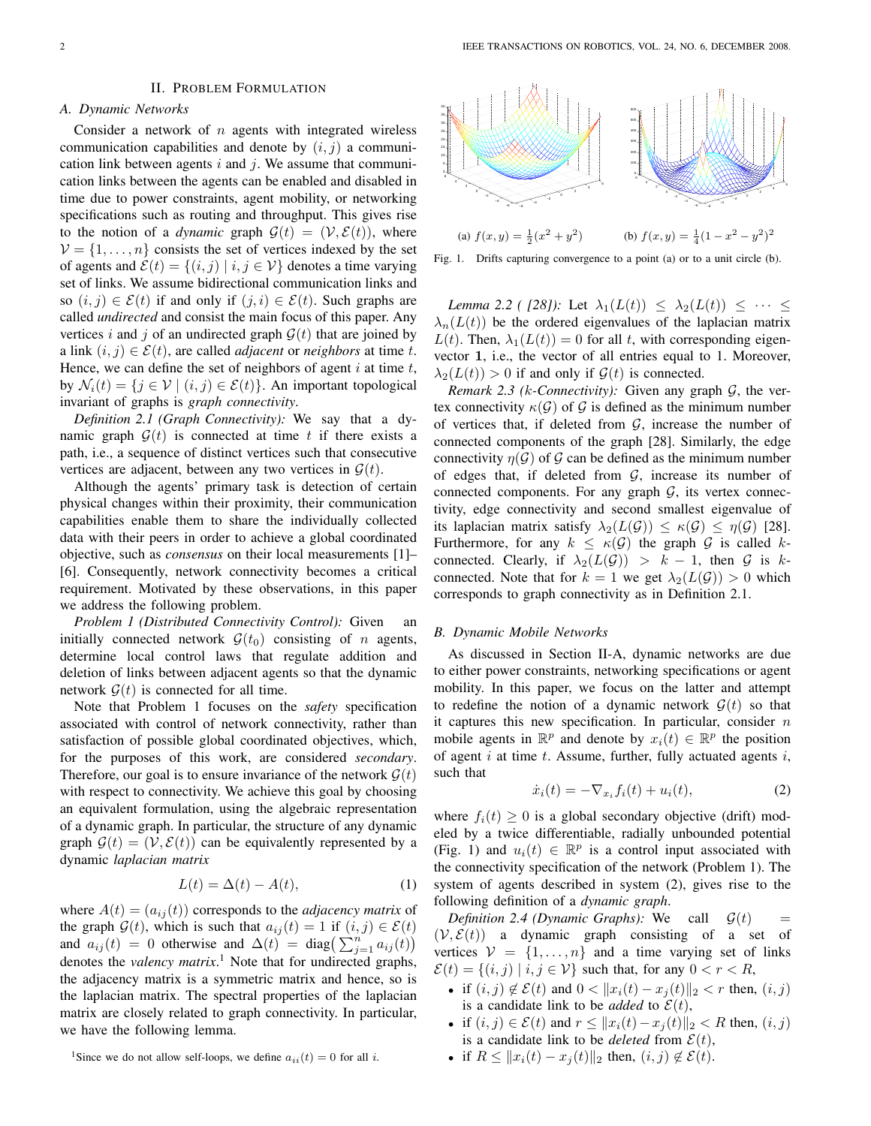#### II. PROBLEM FORMULATION

# *A. Dynamic Networks*

Consider a network of  $n$  agents with integrated wireless communication capabilities and denote by  $(i, j)$  a communication link between agents  $i$  and  $j$ . We assume that communication links between the agents can be enabled and disabled in time due to power constraints, agent mobility, or networking specifications such as routing and throughput. This gives rise to the notion of a *dynamic* graph  $\mathcal{G}(t) = (\mathcal{V}, \mathcal{E}(t))$ , where  $V = \{1, \ldots, n\}$  consists the set of vertices indexed by the set of agents and  $\mathcal{E}(t) = \{(i, j) | i, j \in \mathcal{V}\}\$ denotes a time varying set of links. We assume bidirectional communication links and so  $(i, j) \in \mathcal{E}(t)$  if and only if  $(j, i) \in \mathcal{E}(t)$ . Such graphs are called *undirected* and consist the main focus of this paper. Any vertices i and j of an undirected graph  $\mathcal{G}(t)$  that are joined by a link  $(i, j) \in \mathcal{E}(t)$ , are called *adjacent* or *neighbors* at time t. Hence, we can define the set of neighbors of agent  $i$  at time  $t$ , by  $\mathcal{N}_i(t) = \{j \in \mathcal{V} \mid (i, j) \in \mathcal{E}(t)\}\)$ . An important topological invariant of graphs is *graph connectivity*.

*Definition 2.1 (Graph Connectivity):* We say that a dynamic graph  $G(t)$  is connected at time t if there exists a path, i.e., a sequence of distinct vertices such that consecutive vertices are adjacent, between any two vertices in  $\mathcal{G}(t)$ .

Although the agents' primary task is detection of certain physical changes within their proximity, their communication capabilities enable them to share the individually collected data with their peers in order to achieve a global coordinated objective, such as *consensus* on their local measurements [1]– [6]. Consequently, network connectivity becomes a critical requirement. Motivated by these observations, in this paper we address the following problem.

*Problem 1 (Distributed Connectivity Control):* Given initially connected network  $\mathcal{G}(t_0)$  consisting of n agents, determine local control laws that regulate addition and deletion of links between adjacent agents so that the dynamic network  $G(t)$  is connected for all time.

Note that Problem 1 focuses on the *safety* specification associated with control of network connectivity, rather than satisfaction of possible global coordinated objectives, which, for the purposes of this work, are considered *secondary*. Therefore, our goal is to ensure invariance of the network  $\mathcal{G}(t)$ with respect to connectivity. We achieve this goal by choosing an equivalent formulation, using the algebraic representation of a dynamic graph. In particular, the structure of any dynamic graph  $\mathcal{G}(t) = (\mathcal{V}, \mathcal{E}(t))$  can be equivalently represented by a dynamic *laplacian matrix*

$$
L(t) = \Delta(t) - A(t),\tag{1}
$$

where  $A(t) = (a_{ij}(t))$  corresponds to the *adjacency matrix* of the graph  $\mathcal{G}(t)$ , which is such that  $a_{ij}(t) = 1$  if  $(i, j) \in \mathcal{E}(t)$ and  $a_{ij}(t) = 0$  otherwise and  $\Delta(t) = \text{diag}\left(\sum_{j=1}^{n} a_{ij}(t)\right)$ denotes the *valency matrix*. <sup>1</sup> Note that for undirected graphs, the adjacency matrix is a symmetric matrix and hence, so is the laplacian matrix. The spectral properties of the laplacian matrix are closely related to graph connectivity. In particular, we have the following lemma.



Fig. 1. Drifts capturing convergence to a point (a) or to a unit circle (b).

*Lemma 2.2 ( [28]):* Let  $\lambda_1(L(t)) \leq \lambda_2(L(t)) \leq \cdots \leq$  $\lambda_n(L(t))$  be the ordered eigenvalues of the laplacian matrix  $L(t)$ . Then,  $\lambda_1(L(t)) = 0$  for all t, with corresponding eigenvector 1, i.e., the vector of all entries equal to 1. Moreover,  $\lambda_2(L(t)) > 0$  if and only if  $\mathcal{G}(t)$  is connected.

*Remark 2.3 (k-Connectivity):* Given any graph  $G$ , the vertex connectivity  $\kappa(\mathcal{G})$  of  $\mathcal{G}$  is defined as the minimum number of vertices that, if deleted from  $G$ , increase the number of connected components of the graph [28]. Similarly, the edge connectivity  $\eta(\mathcal{G})$  of  $\mathcal{G}$  can be defined as the minimum number of edges that, if deleted from  $G$ , increase its number of connected components. For any graph  $G$ , its vertex connectivity, edge connectivity and second smallest eigenvalue of its laplacian matrix satisfy  $\lambda_2(L(\mathcal{G})) \leq \kappa(\mathcal{G}) \leq \eta(\mathcal{G})$  [28]. Furthermore, for any  $k \leq \kappa(G)$  the graph G is called kconnected. Clearly, if  $\lambda_2(L(\mathcal{G})) > k - 1$ , then  $\mathcal G$  is kconnected. Note that for  $k = 1$  we get  $\lambda_2(L(\mathcal{G})) > 0$  which corresponds to graph connectivity as in Definition 2.1.

## *B. Dynamic Mobile Networks*

As discussed in Section II-A, dynamic networks are due to either power constraints, networking specifications or agent mobility. In this paper, we focus on the latter and attempt to redefine the notion of a dynamic network  $\mathcal{G}(t)$  so that it captures this new specification. In particular, consider  $n$ mobile agents in  $\mathbb{R}^p$  and denote by  $x_i(t) \in \mathbb{R}^p$  the position of agent  $i$  at time  $t$ . Assume, further, fully actuated agents  $i$ , such that

$$
\dot{x}_i(t) = -\nabla_{x_i} f_i(t) + u_i(t),\tag{2}
$$

where  $f_i(t) \geq 0$  is a global secondary objective (drift) modeled by a twice differentiable, radially unbounded potential (Fig. 1) and  $u_i(t) \in \mathbb{R}^p$  is a control input associated with the connectivity specification of the network (Problem 1). The system of agents described in system (2), gives rise to the following definition of a *dynamic graph*.

*Definition 2.4 (Dynamic Graphs):* We call  $\mathcal{G}(t)$  =  $(V, \mathcal{E}(t))$  a dynamic graph consisting of a set of vertices  $V = \{1, \ldots, n\}$  and a time varying set of links  $\mathcal{E}(t) = \{(i, j) | i, j \in \mathcal{V}\}\$  such that, for any  $0 < r < R$ ,

- if  $(i, j) \notin \mathcal{E}(t)$  and  $0 < ||x_i(t) x_j(t)||_2 < r$  then,  $(i, j)$ is a candidate link to be *added* to  $\mathcal{E}(t)$ ,
- if  $(i, j) \in \mathcal{E}(t)$  and  $r \leq ||x_i(t) x_j(t)||_2 < R$  then,  $(i, j)$ is a candidate link to be *deleted* from  $\mathcal{E}(t)$ ,
- if  $R \leq ||x_i(t) x_i(t)||_2$  then,  $(i, j) \notin \mathcal{E}(t)$ .

<sup>&</sup>lt;sup>1</sup>Since we do not allow self-loops, we define  $a_{ii}(t) = 0$  for all *i*.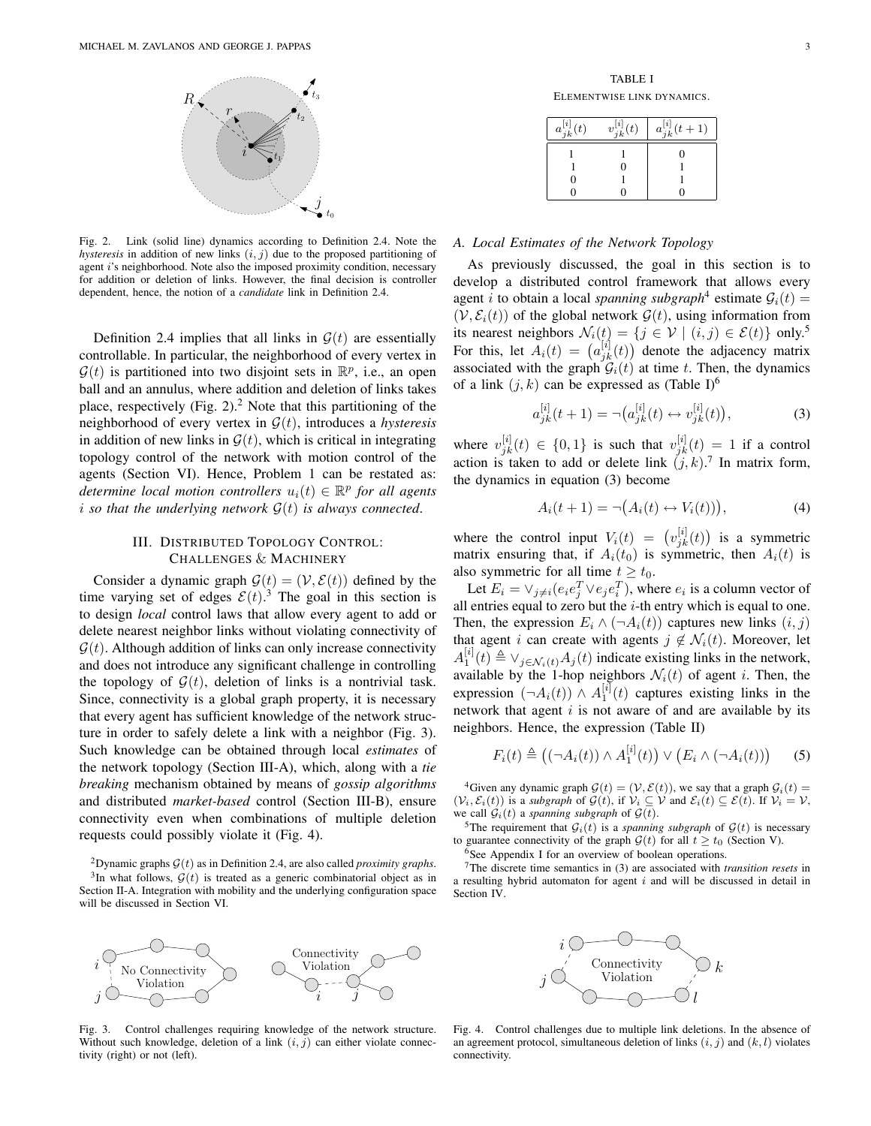

Fig. 2. Link (solid line) dynamics according to Definition 2.4. Note the *hysteresis* in addition of new links  $(i, j)$  due to the proposed partitioning of agent i's neighborhood. Note also the imposed proximity condition, necessary for addition or deletion of links. However, the final decision is controller dependent, hence, the notion of a *candidate* link in Definition 2.4.

Definition 2.4 implies that all links in  $\mathcal{G}(t)$  are essentially controllable. In particular, the neighborhood of every vertex in  $\mathcal{G}(t)$  is partitioned into two disjoint sets in  $\mathbb{R}^p$ , i.e., an open ball and an annulus, where addition and deletion of links takes place, respectively (Fig.  $2$ ).<sup>2</sup> Note that this partitioning of the neighborhood of every vertex in G(t), introduces a *hysteresis* in addition of new links in  $\mathcal{G}(t)$ , which is critical in integrating topology control of the network with motion control of the agents (Section VI). Hence, Problem 1 can be restated as: determine local motion controllers  $u_i(t) \in \mathbb{R}^p$  for all agents *i* so that the underlying network  $G(t)$  is always connected.

## III. DISTRIBUTED TOPOLOGY CONTROL: CHALLENGES & MACHINERY

Consider a dynamic graph  $\mathcal{G}(t) = (\mathcal{V}, \mathcal{E}(t))$  defined by the time varying set of edges  $\mathcal{E}(t)$ .<sup>3</sup> The goal in this section is to design *local* control laws that allow every agent to add or delete nearest neighbor links without violating connectivity of  $G(t)$ . Although addition of links can only increase connectivity and does not introduce any significant challenge in controlling the topology of  $G(t)$ , deletion of links is a nontrivial task. Since, connectivity is a global graph property, it is necessary that every agent has sufficient knowledge of the network structure in order to safely delete a link with a neighbor (Fig. 3). Such knowledge can be obtained through local *estimates* of the network topology (Section III-A), which, along with a *tie breaking* mechanism obtained by means of *gossip algorithms* and distributed *market-based* control (Section III-B), ensure connectivity even when combinations of multiple deletion requests could possibly violate it (Fig. 4).

<sup>2</sup>Dynamic graphs  $G(t)$  as in Definition 2.4, are also called *proximity graphs*.  $3$ In what follows,  $\mathcal{G}(t)$  is treated as a generic combinatorial object as in Section II-A. Integration with mobility and the underlying configuration space will be discussed in Section VI.



Fig. 3. Control challenges requiring knowledge of the network structure. Without such knowledge, deletion of a link  $(i, j)$  can either violate connectivity (right) or not (left).

| $a_{jk}^{[i]}(t)$ | $v_{jk}^{[i]}(t)$ | $a_{jk}^{[i]}(t+1)$ |
|-------------------|-------------------|---------------------|
|                   |                   |                     |
|                   |                   |                     |
|                   |                   |                     |
|                   |                   |                     |

### *A. Local Estimates of the Network Topology*

As previously discussed, the goal in this section is to develop a distributed control framework that allows every agent *i* to obtain a local *spanning subgraph*<sup>4</sup> estimate  $G_i(t)$  =  $(V, \mathcal{E}_i(t))$  of the global network  $\mathcal{G}(t)$ , using information from its nearest neighbors  $\mathcal{N}_i(t) = \{j \in \mathcal{V} \mid (i,j) \in \mathcal{E}(t)\}$  only.<sup>5</sup><br>For this, let  $A_i(t) = (a_{jk}^{[i]}(t))$  denote the adjacency matrix ¢ denote the adjacency matrix associated with the graph  $\mathcal{G}_i(t)$  at time t. Then, the dynamics of a link  $(j, k)$  can be expressed as (Table I)<sup>6</sup>

$$
a_{jk}^{[i]}(t+1) = \neg (a_{jk}^{[i]}(t) \leftrightarrow v_{jk}^{[i]}(t)),
$$
\n(3)

where  $v_{jk}^{[i]}(t) \in \{0,1\}$  is such that  $v_{jk}^{[i]}(t) = 1$  if a control action is taken to add or delete link  $(j, k)$ .<sup>7</sup> In matrix form, the dynamics in equation (3) become

$$
A_i(t+1) = \neg(A_i(t) \leftrightarrow V_i(t))), \tag{4}
$$

where the control input  $V_i(t) = (v_{jk}^{[i]}(t))$ ¢ is a symmetric matrix ensuring that, if  $A_i(t_0)$  is symmetric, then  $A_i(t)$  is also symmetric for all time  $t \geq t_0$ .

Let  $E_i = \vee_{j \neq i} (e_i e_j^T \vee e_j e_i^T)$ , where  $e_i$  is a column vector of all entries equal to zero but the  $i$ -th entry which is equal to one. Then, the expression  $E_i \wedge (\neg A_i(t))$  captures new links  $(i, j)$ that agent *i* can create with agents  $j \notin \mathcal{N}_i(t)$ . Moreover, let  $A_1^{[i]}(t) \triangleq \vee_{j \in \mathcal{N}_i(t)} A_j(t)$  indicate existing links in the network, available by the 1-hop neighbors  $\mathcal{N}_i(t)$  of agent i. Then, the expression  $(\neg A_i(t)) \wedge A_1^{[i]}(t)$  captures existing links in the network that agent  $i$  is not aware of and are available by its neighbors. Hence, the expression (Table II)

$$
F_i(t) \triangleq \left( (\neg A_i(t)) \land A_1^{[i]}(t) \right) \lor \left( E_i \land (\neg A_i(t)) \right) \tag{5}
$$

<sup>4</sup>Given any dynamic graph  $\mathcal{G}(t) = (\mathcal{V}, \mathcal{E}(t))$ , we say that a graph  $\mathcal{G}_i(t) =$  $(\mathcal{V}_i, \mathcal{E}_i(t))$  is a *subgraph* of  $\mathcal{G}(t)$ , if  $\mathcal{V}_i \subseteq \mathcal{V}$  and  $\mathcal{E}_i(t) \subseteq \mathcal{E}(t)$ . If  $\mathcal{V}_i = \mathcal{V}$ , we call  $G_i(t)$  a *spanning subgraph* of  $G(t)$ .

<sup>5</sup>The requirement that  $G_i(t)$  is a *spanning subgraph* of  $G(t)$  is necessary to guarantee connectivity of the graph  $\mathcal{G}(t)$  for all  $t \geq t_0$  (Section V). <sup>6</sup>See Appendix I for an overview of boolean operations.

<sup>7</sup>The discrete time semantics in (3) are associated with *transition resets* in a resulting hybrid automaton for agent  $i$  and will be discussed in detail in Section IV.



Fig. 4. Control challenges due to multiple link deletions. In the absence of an agreement protocol, simultaneous deletion of links  $(i, j)$  and  $(k, l)$  violates connectivity.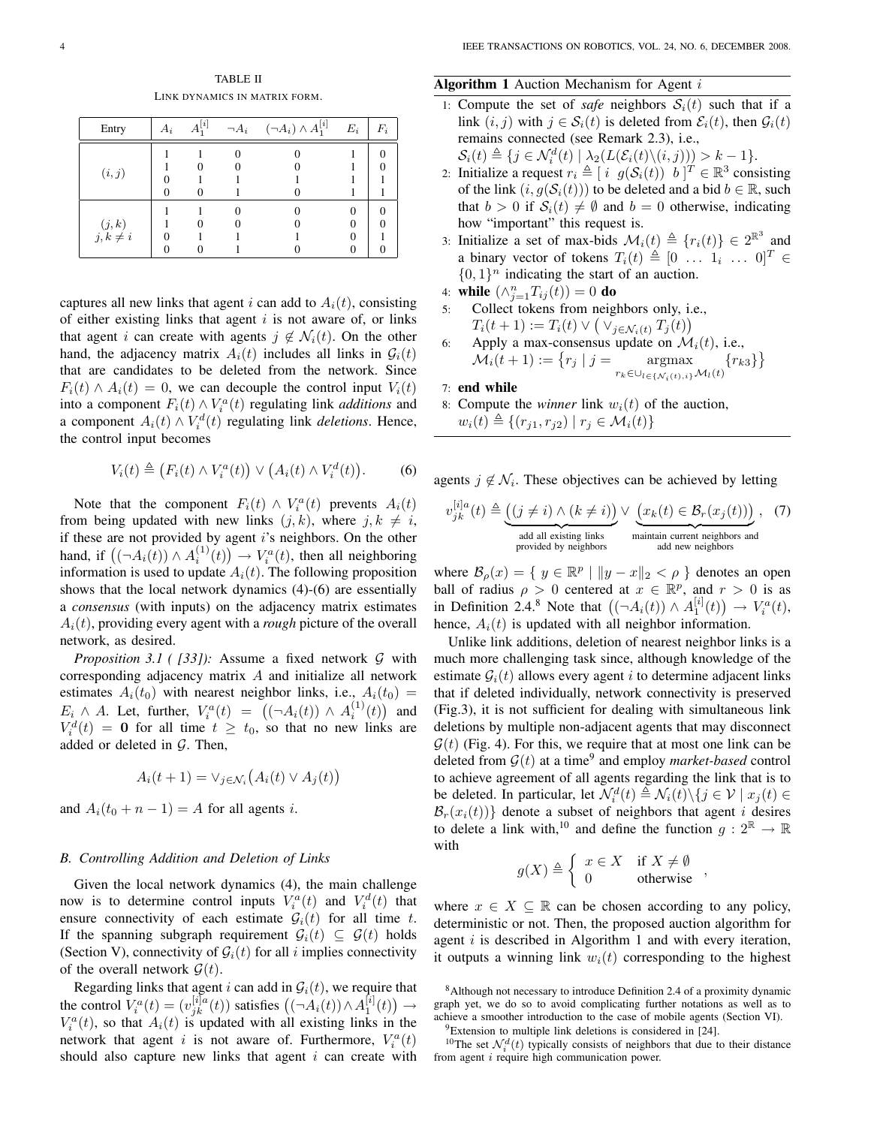TABLE II LINK DYNAMICS IN MATRIX FORM.

| Entry                     | $A_i$ | $A^{[i]}$ | $\neg A_i$ | $(\neg A_i) \wedge A_1^{[i]}$ | $E_i$ | $F_i$ |
|---------------------------|-------|-----------|------------|-------------------------------|-------|-------|
| (i, j)                    |       |           |            |                               |       |       |
| $(j, k)$<br>$j, k \neq i$ |       |           |            |                               |       |       |

captures all new links that agent i can add to  $A_i(t)$ , consisting of either existing links that agent  $i$  is not aware of, or links that agent i can create with agents  $j \notin \mathcal{N}_i(t)$ . On the other hand, the adjacency matrix  $A_i(t)$  includes all links in  $G_i(t)$ that are candidates to be deleted from the network. Since  $F_i(t) \wedge A_i(t) = 0$ , we can decouple the control input  $V_i(t)$ into a component  $F_i(t) \wedge V_i^a(t)$  regulating link *additions* and a component  $A_i(t) \wedge V_i^d(t)$  regulating link *deletions*. Hence, the control input becomes

$$
V_i(t) \triangleq (F_i(t) \wedge V_i^a(t)) \vee (A_i(t) \wedge V_i^d(t)).
$$
 (6)

Note that the component  $F_i(t) \wedge V_i^a(t)$  prevents  $A_i(t)$ from being updated with new links  $(j, k)$ , where  $j, k \neq i$ , if these are not provided by agent i's neighbors. On the other hand, if  $((\neg A_i(t)) \wedge A_i^{(1)}(t)) \rightarrow V_i^a(t)$ , then all neighboring information is used to update  $A_i(t)$ . The following proposition shows that the local network dynamics (4)-(6) are essentially a *consensus* (with inputs) on the adjacency matrix estimates  $A_i(t)$ , providing every agent with a *rough* picture of the overall network, as desired.

*Proposition 3.1 ( [33]):* Assume a fixed network G with corresponding adjacency matrix A and initialize all network estimates  $A_i(t_0)$  with nearest neighbor links, i.e.,  $A_i(t_0)$  = Eig ∧ A. Let, further,  $V_i^a(t) = ((\neg A_i(t)) \wedge A_i^{(1)}(t))$  $\frac{1}{\sqrt{2}}$ and  $V_i^d(t) = 0$  for all time  $t \geq t_0$ , so that no new links are added or deleted in  $G$ . Then,

$$
A_i(t+1) = \vee_{j \in \mathcal{N}_i} (A_i(t) \vee A_j(t))
$$

and  $A_i(t_0 + n - 1) = A$  for all agents i.

## *B. Controlling Addition and Deletion of Links*

Given the local network dynamics (4), the main challenge now is to determine control inputs  $V_i^a(t)$  and  $V_i^d(t)$  that ensure connectivity of each estimate  $G_i(t)$  for all time t. If the spanning subgraph requirement  $\mathcal{G}_i(t) \subseteq \mathcal{G}(t)$  holds (Section V), connectivity of  $\mathcal{G}_i(t)$  for all i implies connectivity of the overall network  $\mathcal{G}(t)$ .

Regarding links that agent i can add in  $G_i(t)$ , we require that Regarding finks that agent t can add in  $g_i(t)$ , we require<br>the control  $V_i^a(t) = (v_{jk}^{[i]a}(t))$  satisfies  $((\neg A_i(t)) \wedge A_1^{[i]}(t))$  $\mathbf{L}$  $\rightarrow$  $V_i^a(t)$ , so that  $A_i(t)$  is updated with all existing links in the network that agent i is not aware of. Furthermore,  $V_i^a(t)$ should also capture new links that agent  $i$  can create with

## **Algorithm 1** Auction Mechanism for Agent  $i$

- 1: Compute the set of *safe* neighbors  $S_i(t)$  such that if a link  $(i, j)$  with  $j \in S_i(t)$  is deleted from  $\mathcal{E}_i(t)$ , then  $\mathcal{G}_i(t)$ remains connected (see Remark 2.3), i.e.,
- $S_i(t) \triangleq \{ j \in \mathcal{N}_i^d(t) \mid \lambda_2(L(\mathcal{E}_i(t)\setminus(i,j))) > k-1 \}.$ 2: Initialize a request  $r_i \triangleq [i \ g(\mathcal{S}_i(t)) \ b]^{T} \in \mathbb{R}^3$  consisting of the link  $(i, g(S_i(t)))$  to be deleted and a bid  $b \in \mathbb{R}$ , such that  $b > 0$  if  $S_i(t) \neq \emptyset$  and  $b = 0$  otherwise, indicating how "important" this request is.
- 3: Initialize a set of max-bids  $\mathcal{M}_i(t) \triangleq \{r_i(t)\}\in 2^{\mathbb{R}^3}$  and a binary vector of tokens  $T_i(t) \triangleq [0 \dots 1_i \dots 0]^T \in$  $\{0,1\}^n$  indicating the start of an auction.
- 4: while  $(\wedge_{j=1}^{n}T_{ij}(t))=0$  do
- 5: Collect tokens from neighbors only, i.e.,  $T_i(t+1) := T_i(t) \vee (\vee_{j \in \mathcal{N}_i(t)} T_j(t))$
- 6: Apply a max-consensus update on  $\mathcal{M}_i(t)$ , i.e., Apply a max-consensus update on  $\mathcal{M}_i$ <br> $\mathcal{M}_i(t+1) := \{r_j \mid j = \text{argmax}\}$  $r_k \in \bigcup_{l \in \{\mathcal{N}_i(t),i\}} \mathcal{M}_l(t)$  ${r_{k3}}$ ª

## 7: end while

- 8: Compute the *winner* link  $w_i(t)$  of the auction,
	- $w_i(t) \triangleq \{(r_{j1}, r_{j2}) | r_j \in \mathcal{M}_i(t)\}\$

agents  $j \notin \mathcal{N}_i$ . These objectives can be achieved by letting

$$
v_{jk}^{[i]a}(t) \triangleq \underbrace{((j \neq i) \land (k \neq i))}_{\text{add all existing links}} \lor \underbrace{(x_k(t) \in \mathcal{B}_r(x_j(t)))}_{\text{maintain current neighbors and}\\ \text{add new neighbors}} , \quad (7)
$$

where  $\mathcal{B}_{\rho}(x) = \{ y \in \mathbb{R}^p \mid ||y - x||_2 < \rho \}$  denotes an open ball of radius  $\rho > 0$  centered at  $x \in \mathbb{R}^p$ , and  $r > 0$  is as ball of radius  $\rho > 0$  centered at  $x \in \mathbb{R}^r$ , and  $r > 0$  is as<br>in Definition 2.4.<sup>8</sup> Note that  $((\neg A_i(t)) \wedge A_1^{[i]}(t)) \rightarrow V_i^a(t)$ , hence,  $A_i(t)$  is updated with all neighbor information.

Unlike link additions, deletion of nearest neighbor links is a much more challenging task since, although knowledge of the estimate  $G_i(t)$  allows every agent i to determine adjacent links that if deleted individually, network connectivity is preserved (Fig.3), it is not sufficient for dealing with simultaneous link deletions by multiple non-adjacent agents that may disconnect  $\mathcal{G}(t)$  (Fig. 4). For this, we require that at most one link can be deleted from  $G(t)$  at a time<sup>9</sup> and employ *market-based* control to achieve agreement of all agents regarding the link that is to be deleted. In particular, let  $\mathcal{N}_i^d(t) \triangleq \mathcal{N}_i(t) \setminus \{j \in \mathcal{V} \mid x_j(t) \in$  $\mathcal{B}_r(x_i(t))$ } denote a subset of neighbors that agent *i* desires to delete a link with,<sup>10</sup> and define the function  $g: 2^{\mathbb{R}} \to \mathbb{R}$ with ½

$$
g(X) \triangleq \begin{cases} x \in X & \text{if } X \neq \emptyset \\ 0 & \text{otherwise} \end{cases}
$$

where  $x \in X \subseteq \mathbb{R}$  can be chosen according to any policy, deterministic or not. Then, the proposed auction algorithm for agent  $i$  is described in Algorithm 1 and with every iteration, it outputs a winning link  $w_i(t)$  corresponding to the highest

<sup>8</sup>Although not necessary to introduce Definition 2.4 of a proximity dynamic graph yet, we do so to avoid complicating further notations as well as to achieve a smoother introduction to the case of mobile agents (Section VI).

 $9$ Extension to multiple link deletions is considered in [24].

<sup>&</sup>lt;sup>10</sup>The set  $\mathcal{N}_i^d(t)$  typically consists of neighbors that due to their distance from agent *i* require high communication power.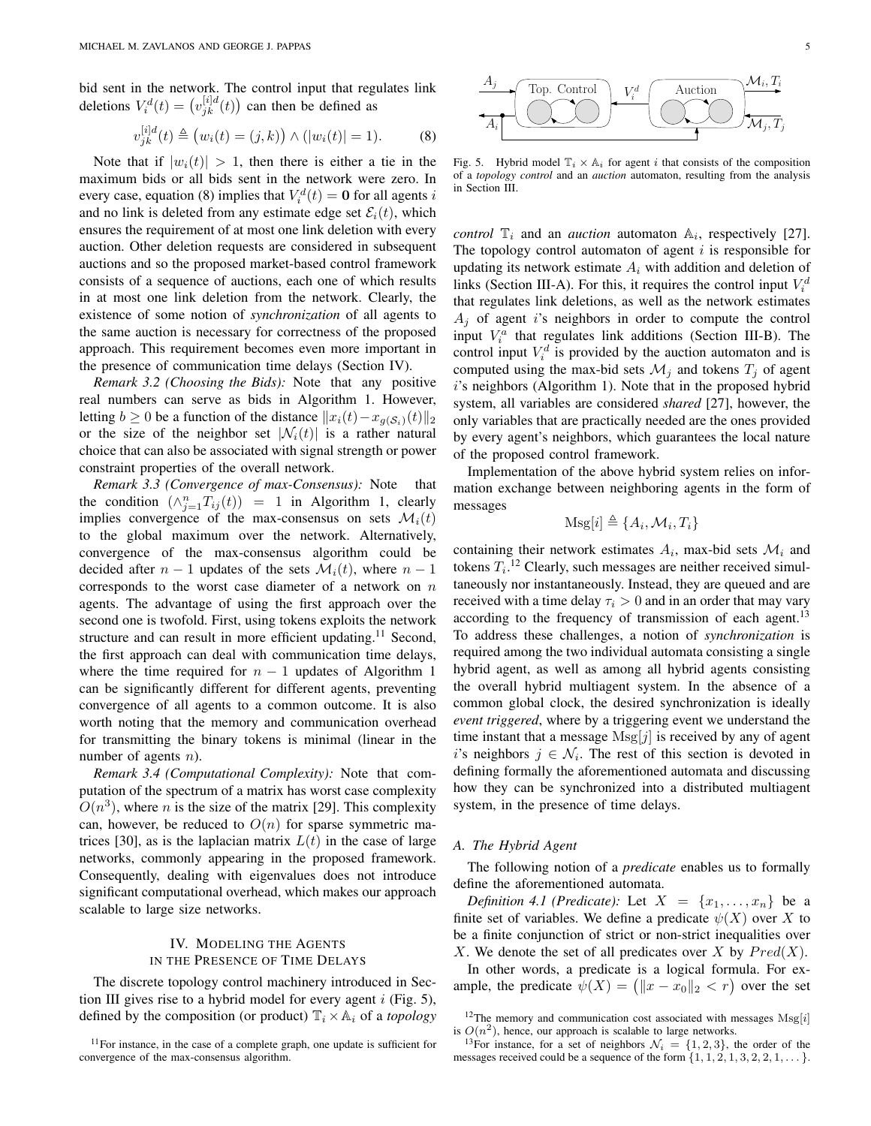bid sent in the network. The control input that regulates link deletions  $V_i^d(t) = (v_{jk}^{[i]d}(t))$ µ<br>∖ can then be defined as

$$
v_{jk}^{[i]d}(t) \triangleq (w_i(t) = (j,k)) \wedge (|w_i(t)| = 1).
$$
 (8)

Note that if  $|w_i(t)| > 1$ , then there is either a tie in the maximum bids or all bids sent in the network were zero. In every case, equation (8) implies that  $V_i^d(t) = \mathbf{0}$  for all agents i and no link is deleted from any estimate edge set  $\mathcal{E}_i(t)$ , which ensures the requirement of at most one link deletion with every auction. Other deletion requests are considered in subsequent auctions and so the proposed market-based control framework consists of a sequence of auctions, each one of which results in at most one link deletion from the network. Clearly, the existence of some notion of *synchronization* of all agents to the same auction is necessary for correctness of the proposed approach. This requirement becomes even more important in the presence of communication time delays (Section IV).

*Remark 3.2 (Choosing the Bids):* Note that any positive real numbers can serve as bids in Algorithm 1. However, letting  $b \ge 0$  be a function of the distance  $||x_i(t)-x_{g(S_i)}(t)||_2$ or the size of the neighbor set  $|\mathcal{N}_i(t)|$  is a rather natural choice that can also be associated with signal strength or power constraint properties of the overall network.

*Remark 3.3 (Convergence of max-Consensus):* Note that the condition  $(\wedge_{j=1}^{n} T_{ij}(t)) = 1$  in Algorithm 1, clearly implies convergence of the max-consensus on sets  $\mathcal{M}_i(t)$ to the global maximum over the network. Alternatively, convergence of the max-consensus algorithm could be decided after  $n-1$  updates of the sets  $\mathcal{M}_i(t)$ , where  $n-1$ corresponds to the worst case diameter of a network on  $n$ agents. The advantage of using the first approach over the second one is twofold. First, using tokens exploits the network structure and can result in more efficient updating.<sup>11</sup> Second, the first approach can deal with communication time delays, where the time required for  $n - 1$  updates of Algorithm 1 can be significantly different for different agents, preventing convergence of all agents to a common outcome. It is also worth noting that the memory and communication overhead for transmitting the binary tokens is minimal (linear in the number of agents *n*).

*Remark 3.4 (Computational Complexity):* Note that computation of the spectrum of a matrix has worst case complexity  $O(n^3)$ , where *n* is the size of the matrix [29]. This complexity can, however, be reduced to  $O(n)$  for sparse symmetric matrices [30], as is the laplacian matrix  $L(t)$  in the case of large networks, commonly appearing in the proposed framework. Consequently, dealing with eigenvalues does not introduce significant computational overhead, which makes our approach scalable to large size networks.

## IV. MODELING THE AGENTS IN THE PRESENCE OF TIME DELAYS

The discrete topology control machinery introduced in Section III gives rise to a hybrid model for every agent  $i$  (Fig. 5), defined by the composition (or product)  $\mathbb{T}_i \times \mathbb{A}_i$  of a *topology* 



Fig. 5. Hybrid model  $\mathbb{T}_i \times \mathbb{A}_i$  for agent i that consists of the composition of a *topology control* and an *auction* automaton, resulting from the analysis in Section III.

*control*  $\mathbb{T}_i$  and an *auction* automaton  $\mathbb{A}_i$ , respectively [27]. The topology control automaton of agent  $i$  is responsible for updating its network estimate  $A_i$  with addition and deletion of links (Section III-A). For this, it requires the control input  $V_i^d$ that regulates link deletions, as well as the network estimates  $A_i$  of agent i's neighbors in order to compute the control input  $V_i^a$  that regulates link additions (Section III-B). The control input  $V_i^d$  is provided by the auction automaton and is computed using the max-bid sets  $\mathcal{M}_i$  and tokens  $T_i$  of agent i's neighbors (Algorithm 1). Note that in the proposed hybrid system, all variables are considered *shared* [27], however, the only variables that are practically needed are the ones provided by every agent's neighbors, which guarantees the local nature of the proposed control framework.

Implementation of the above hybrid system relies on information exchange between neighboring agents in the form of messages

$$
Msg[i] \triangleq \{A_i, \mathcal{M}_i, T_i\}
$$

containing their network estimates  $A_i$ , max-bid sets  $\mathcal{M}_i$  and tokens  $T_i$ .<sup>12</sup> Clearly, such messages are neither received simultaneously nor instantaneously. Instead, they are queued and are received with a time delay  $\tau_i > 0$  and in an order that may vary according to the frequency of transmission of each agent.<sup>13</sup> To address these challenges, a notion of *synchronization* is required among the two individual automata consisting a single hybrid agent, as well as among all hybrid agents consisting the overall hybrid multiagent system. In the absence of a common global clock, the desired synchronization is ideally *event triggered*, where by a triggering event we understand the time instant that a message  $Msg[j]$  is received by any of agent i's neighbors  $j \in \mathcal{N}_i$ . The rest of this section is devoted in defining formally the aforementioned automata and discussing how they can be synchronized into a distributed multiagent system, in the presence of time delays.

## *A. The Hybrid Agent*

The following notion of a *predicate* enables us to formally define the aforementioned automata.

*Definition 4.1 (Predicate):* Let  $X = \{x_1, \ldots, x_n\}$  be a finite set of variables. We define a predicate  $\psi(X)$  over X to be a finite conjunction of strict or non-strict inequalities over X. We denote the set of all predicates over X by  $Pred(X)$ .

In other words, a predicate is a logical formula. For exin other words, a predicate is a logical formula. For example, the predicate  $\psi(X) = (\|x - x_0\|_2 < r)$  over the set

 $11$ For instance, in the case of a complete graph, one update is sufficient for convergence of the max-consensus algorithm.

<sup>&</sup>lt;sup>12</sup>The memory and communication cost associated with messages  $Msg[i]$ is  $O(n^2)$ , hence, our approach is scalable to large networks.

<sup>&</sup>lt;sup>13</sup>For instance, for a set of neighbors  $\mathcal{N}_i = \{1, 2, 3\}$ , the order of the messages received could be a sequence of the form  $\{1, 1, 2, 1, 3, 2, 2, 1, \ldots\}$ .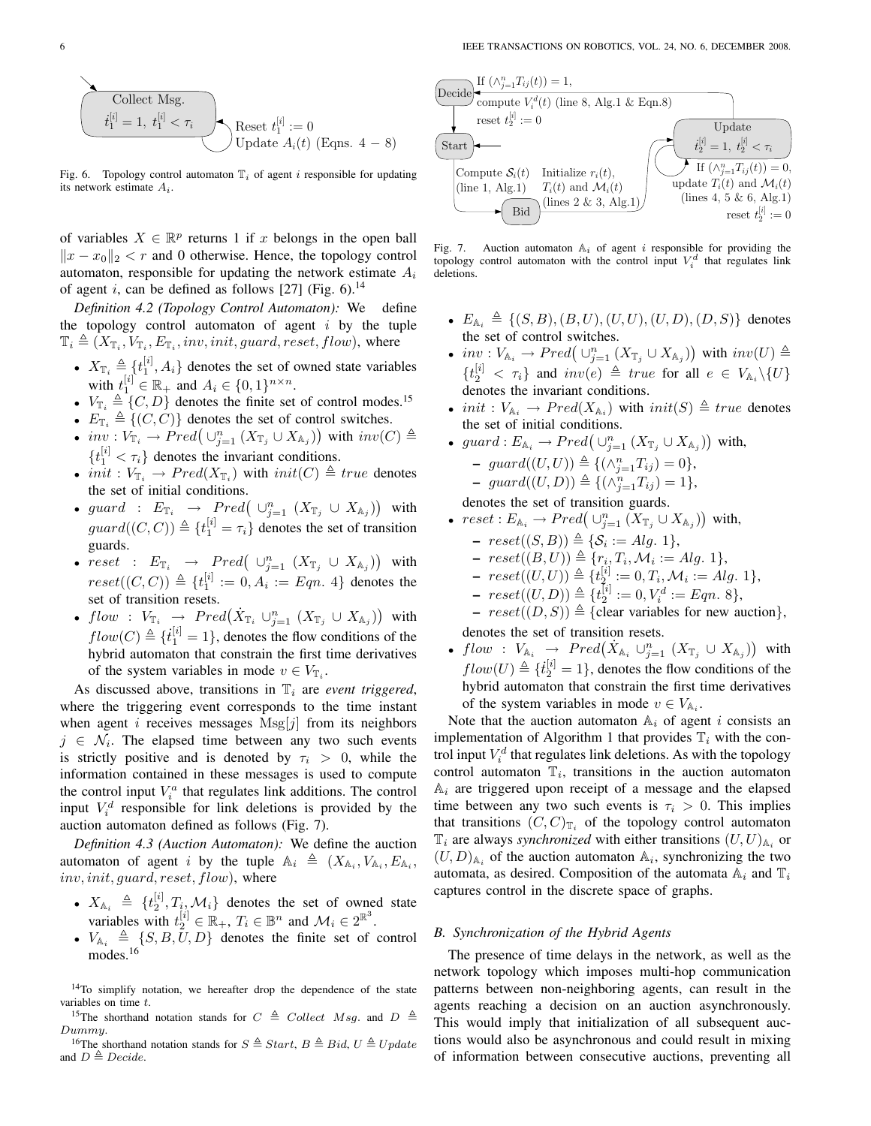Collect Msg.

\n
$$
t_1^{[i]} = 1, t_1^{[i]} < \tau_i
$$
\nReset  $t_1^{[i]} := 0$ 

\nUpdate  $A_i(t)$  (Eqns. 4 - 8)

Fig. 6. Topology control automaton  $\mathbb{T}_i$  of agent i responsible for updating its network estimate  $A_i$ .

of variables  $X \in \mathbb{R}^p$  returns 1 if x belongs in the open ball  $||x - x_0||_2 < r$  and 0 otherwise. Hence, the topology control automaton, responsible for updating the network estimate  $A_i$ of agent i, can be defined as follows [27] (Fig. 6).<sup>14</sup>

*Definition 4.2 (Topology Control Automaton):* We define the topology control automaton of agent  $i$  by the tuple  $\mathbb{T}_i \triangleq (X_{\mathbb{T}_i}, V_{\mathbb{T}_i}, E_{\mathbb{T}_i}, inv, init, guard, reset, flow)$ , where

- $X_{\mathbb{T}_i} \triangleq \{t_1^{[i]}, A_i\}$  denotes the set of owned state variables with  $t_1^{[i]} \in \mathbb{R}_+$  and  $A_i \in \{0, 1\}^{n \times n}$ .
- $V_{\mathbb{T}_i} \triangleq \{C, D\}$  denotes the finite set of control modes.<sup>15</sup>
- $E_{\mathbb{T}_i} \triangleq \{(C, C)\}\)$  denotes the set of control switches.
- $E_{\mathbb{T}_i} = \{ (C, C) \}$  denotes the set of control switches.<br>•  $inv : V_{\mathbb{T}_i} \to Pred \big( \cup_{j=1}^n (X_{\mathbb{T}_j} \cup X_{\mathbb{A}_j}) \big)$  with  $inv(C) \triangleq$  $\{t_1^{[i]} < \tau_i\}$  denotes the invariant conditions.
- init :  $V_{\mathbb{T}_i} \to Pred(X_{\mathbb{T}_i})$  with  $init(C) \triangleq true$  denotes the set of initial conditions. ¢
- guard :  $E_{\mathbb{T}_i} \rightarrow Pred \left( \bigcup_{j=1}^n (X_{\mathbb{T}_j} \cup X_{\mathbb{A}_j}) \right)$ with  $guard((C, C)) \triangleq \{t_1^{[i]} = \tau_i\}$  denotes the set of transition guards. ¢
- **reset :**  $E_{\mathbb{T}_i} \rightarrow Pred(\cup_{j=1}^n (X_{\mathbb{T}_j} \cup X_{\mathbb{A}_j}))$ with  $reset((C, C)) \triangleq \{t_1^{[i]} := 0, A_i := Eqn. 4\}$  denotes the set of transition resets. ¢
- flow :  $V_{\mathbb{T}_i} \rightarrow Pred(\dot{X}_{\mathbb{T}_i} \cup_{j=1}^n (X_{\mathbb{T}_j} \cup X_{\mathbb{A}_j}))$ with  $flow(C) \triangleq \{t_1^{[i]} = 1\}$ , denotes the flow conditions of the hybrid automaton that constrain the first time derivatives of the system variables in mode  $v \in V_{\mathbb{T}_i}$ .

As discussed above, transitions in  $\mathbb{T}_i$  are *event triggered*, where the triggering event corresponds to the time instant when agent i receives messages  $Msg[j]$  from its neighbors  $j \in \mathcal{N}_i$ . The elapsed time between any two such events is strictly positive and is denoted by  $\tau_i > 0$ , while the information contained in these messages is used to compute the control input  $V_i^a$  that regulates link additions. The control input  $V_i^d$  responsible for link deletions is provided by the auction automaton defined as follows (Fig. 7).

*Definition 4.3 (Auction Automaton):* We define the auction automaton of agent *i* by the tuple  $A_i \triangleq (X_{A_i}, V_{A_i}, E_{A_i},$  $inv, init, guard, reset, flow)$ , where

- $X_{\mathbb{A}_i} \triangleq \{t_2^{[i]}, T_i, \mathcal{M}_i\}$  denotes the set of owned state variables with  $t_2^{[i]} \in \mathbb{R}_+$ ,  $T_i \in \mathbb{B}^n$  and  $\mathcal{M}_i \in 2^{\mathbb{R}^3}$ .
- $V_{A_i} \triangleq \{S, B, U, D\}$  denotes the finite set of control modes.<sup>16</sup>

<sup>14</sup>To simplify notation, we hereafter drop the dependence of the state variables on time t.

<sup>15</sup>The shorthand notation stands for  $C \triangleq Collect$  *Msg.* and  $D \triangleq$ Dummy.

<sup>16</sup>The shorthand notation stands for  $S \triangleq Start$ ,  $B \triangleq Bid$ ,  $U \triangleq Update$ and  $D \triangleq Decide$ .



Fig. 7. Auction automaton  $A_i$  of agent i responsible for providing the topology control automaton with the control input  $V_i^d$  that regulates link deletions.

- $E_{\mathbb{A}_i} \triangleq \{(S, B), (B, U), (U, U), (U, D), (D, S)\}\)$  denotes the set of control switches. ¢
- *inv* :  $V_{A_i} \rightarrow Pred \left( \bigcup_{j=1}^n (X_{\mathbb{T}_j} \cup X_{A_j}) \right)$ with  $inv(U) \triangleq$  $\{t_2^{[i]} < \tau_i\}$  and  $inv(e) \triangleq true$  for all  $e \in V_{\mathbb{A}_i} \setminus \{U\}$ denotes the invariant conditions.
- init :  $V_{A_i} \rightarrow Pred(X_{A_i})$  with  $init(S) \triangleq true$  denotes the set of initial conditions. ¢
- guard :  $E_{A_i} \to Pred(\bigcup_{j=1}^{n} (X_{\mathbb{T}_j} \cup X_{A_j}))$ with,  $\text{-} \; guard((U, U)) \triangleq \{(\wedge_{j=1}^{n} T_{ij}) = 0\},\;$  $\hbox{-} \; guard((U, D)) \triangleq \{(\wedge_{j=1}^{n} T_{ij}) = 1\},\;$

denotes the set of transition guards.

- denotes the set of transition guards.<br>•  $reset : E_{\mathbb{A}_i} \to Pred \left( \cup_{j=1}^n (X_{\mathbb{T}_j} \cup X_{\mathbb{A}_j}) \right)$ ¢ with,
	- $\, reset((S, B)) \triangleq \{S_i := Alg. 1\},$
	- $\, reset((B, U)) \triangleq \{r_i, T_i, \mathcal{M}_i := Alg. \, 1\},$
	- $\; reset((U, U)) \triangleq \{t_{2}^{[i]} := 0, T_i, \mathcal{M}_i := Alg. \; 1\},$
	- $\; reset((U, D)) \triangleq \{t_2^{[i]} := 0, V_i^d := Eqn. 8\},\$
	- $reset((D, S)) \triangleq \{clear variables for new auction\},\$ denotes the set of transition resets.
- denotes the set of transition resets.<br>
  $flow: V_{A_i} \rightarrow Pred(X_{A_i} \cup_{j=1}^{n} (X_{T_j} \cup X_{A_j}))$ ¢ with  $flow(U) \triangleq \{t_2^{[i]} = 1\}$ , denotes the flow conditions of the hybrid automaton that constrain the first time derivatives of the system variables in mode  $v \in V_{A_i}$ .

Note that the auction automaton  $A_i$  of agent i consists an implementation of Algorithm 1 that provides  $\mathbb{T}_i$  with the control input  $V_i^d$  that regulates link deletions. As with the topology control automaton  $\mathbb{T}_i$ , transitions in the auction automaton  $A_i$  are triggered upon receipt of a message and the elapsed time between any two such events is  $\tau_i > 0$ . This implies that transitions  $(C, C)_{\mathbb{T}_i}$  of the topology control automaton  $\mathbb{T}_i$  are always *synchronized* with either transitions  $(U, U)_{\mathbb{A}_i}$  or  $(U, D)_{\mathbb{A}_i}$  of the auction automaton  $\mathbb{A}_i$ , synchronizing the two automata, as desired. Composition of the automata  $\mathbb{A}_i$  and  $\mathbb{T}_i$ captures control in the discrete space of graphs.

## *B. Synchronization of the Hybrid Agents*

The presence of time delays in the network, as well as the network topology which imposes multi-hop communication patterns between non-neighboring agents, can result in the agents reaching a decision on an auction asynchronously. This would imply that initialization of all subsequent auctions would also be asynchronous and could result in mixing of information between consecutive auctions, preventing all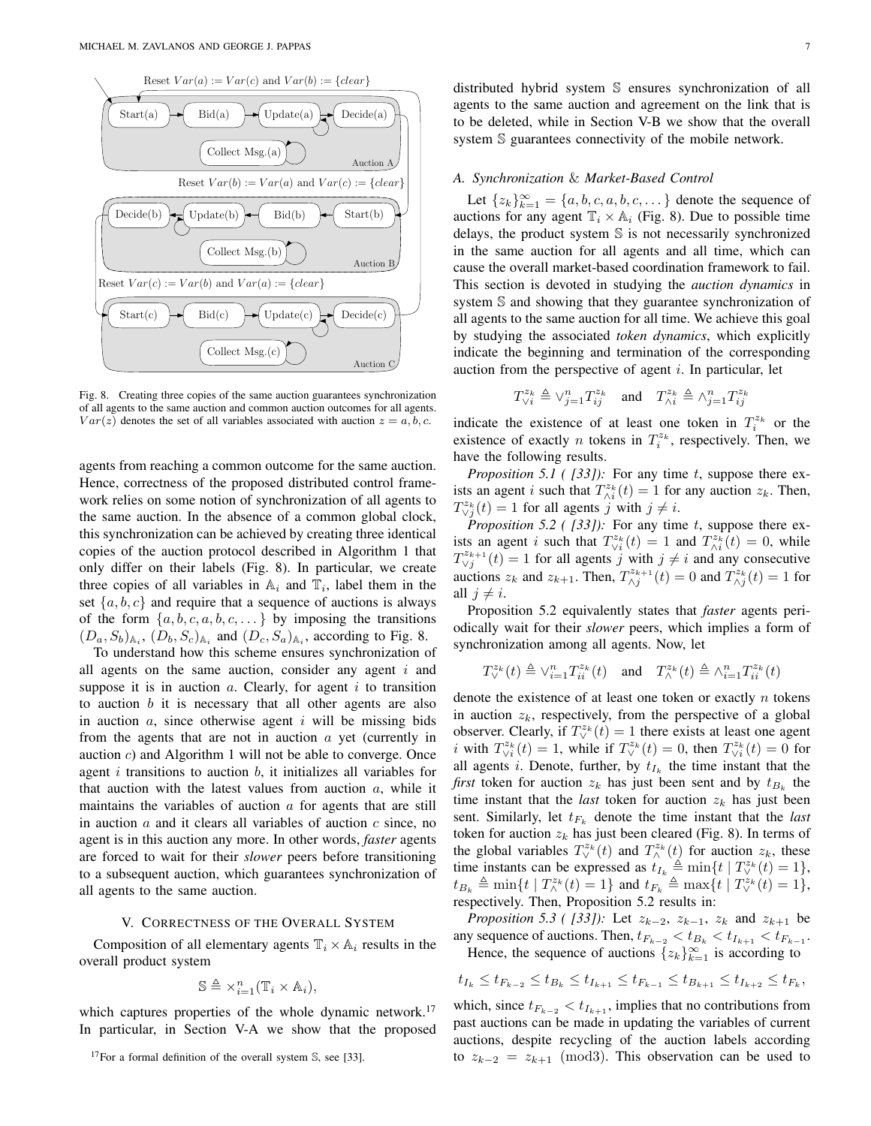

Fig. 8. Creating three copies of the same auction guarantees synchronization of all agents to the same auction and common auction outcomes for all agents.  $Var(z)$  denotes the set of all variables associated with auction  $z = a, b, c$ .

agents from reaching a common outcome for the same auction. Hence, correctness of the proposed distributed control framework relies on some notion of synchronization of all agents to the same auction. In the absence of a common global clock, this synchronization can be achieved by creating three identical copies of the auction protocol described in Algorithm 1 that only differ on their labels (Fig. 8). In particular, we create three copies of all variables in  $\mathbb{A}_i$  and  $\mathbb{T}_i$ , label them in the set  $\{a, b, c\}$  and require that a sequence of auctions is always of the form  $\{a, b, c, a, b, c, \dots\}$  by imposing the transitions  $(D_a, S_b)_{\mathbb{A}_i}$ ,  $(D_b, S_c)_{\mathbb{A}_i}$  and  $(D_c, S_a)_{\mathbb{A}_i}$ , according to Fig. 8.

To understand how this scheme ensures synchronization of all agents on the same auction, consider any agent  $i$  and suppose it is in auction  $a$ . Clearly, for agent  $i$  to transition to auction  $b$  it is necessary that all other agents are also in auction  $a$ , since otherwise agent  $i$  will be missing bids from the agents that are not in auction a yet (currently in auction c) and Algorithm 1 will not be able to converge. Once agent  $i$  transitions to auction  $b$ , it initializes all variables for that auction with the latest values from auction  $a$ , while it maintains the variables of auction  $a$  for agents that are still in auction  $a$  and it clears all variables of auction  $c$  since, no agent is in this auction any more. In other words, *faster* agents are forced to wait for their *slower* peers before transitioning to a subsequent auction, which guarantees synchronization of all agents to the same auction.

## V. CORRECTNESS OF THE OVERALL SYSTEM

Composition of all elementary agents  $\mathbb{T}_i \times \mathbb{A}_i$  results in the overall product system

$$
\mathbb{S} \triangleq \times_{i=1}^n (\mathbb{T}_i \times \mathbb{A}_i),
$$

which captures properties of the whole dynamic network.<sup>17</sup> In particular, in Section V-A we show that the proposed distributed hybrid system S ensures synchronization of all agents to the same auction and agreement on the link that is to be deleted, while in Section V-B we show that the overall system S guarantees connectivity of the mobile network.

# *A. Synchronization* & *Market-Based Control*

Let  $\{z_k\}_{k=1}^{\infty} = \{a, b, c, a, b, c, \dots\}$  denote the sequence of auctions for any agent  $\mathbb{T}_i \times \mathbb{A}_i$  (Fig. 8). Due to possible time delays, the product system S is not necessarily synchronized in the same auction for all agents and all time, which can cause the overall market-based coordination framework to fail. This section is devoted in studying the *auction dynamics* in system S and showing that they guarantee synchronization of all agents to the same auction for all time. We achieve this goal by studying the associated *token dynamics*, which explicitly indicate the beginning and termination of the corresponding auction from the perspective of agent  $i$ . In particular, let

$$
T_{\vee i}^{z_k} \triangleq \vee_{j=1}^{n} T_{ij}^{z_k} \quad \text{ and } \quad T_{\wedge i}^{z_k} \triangleq \wedge_{j=1}^{n} T_{ij}^{z_k}
$$

indicate the existence of at least one token in  $T_i^{z_k}$  or the existence of exactly *n* tokens in  $T_i^{z_k}$ , respectively. Then, we have the following results.

*Proposition 5.1 ( [33]):* For any time t, suppose there exists an agent i such that  $T_{\wedge i}^{z_k}(t) = 1$  for any auction  $z_k$ . Then,  $T^{z_k}_{\vee j}(t) = 1$  for all agents j with  $j \neq i$ .

*Proposition 5.2 ( [33]):* For any time t, suppose there exists an agent i such that  $T^{z_k}_{\forall i}(t) = 1$  and  $T^{z_k}_{\land i}(t) = 0$ , while  $T^{z_{k+1}}_{\vee j}(t) = 1$  for all agents j with  $j \neq i$  and any consecutive auctions  $z_k$  and  $z_{k+1}$ . Then,  $T_{\Delta j}^{z_{k+1}}(t) = 0$  and  $T_{\Delta j}^{z_k}(t) = 1$  for all  $j \neq i$ .

Proposition 5.2 equivalently states that *faster* agents periodically wait for their *slower* peers, which implies a form of synchronization among all agents. Now, let

$$
T_{\vee}^{z_k}(t) \triangleq \vee_{i=1}^n T_{ii}^{z_k}(t) \quad \text{and} \quad T_{\wedge}^{z_k}(t) \triangleq \wedge_{i=1}^n T_{ii}^{z_k}(t)
$$

denote the existence of at least one token or exactly  $n$  tokens in auction  $z_k$ , respectively, from the perspective of a global observer. Clearly, if  $T_{\vee}^{z_k}(t) = 1$  there exists at least one agent *i* with  $T^{z_k}_{\vee i}(t) = 1$ , while if  $T^{z_k}_{\vee}(t) = 0$ , then  $T^{z_k}_{\vee i}(t) = 0$  for all agents *i*. Denote, further, by  $t_{I_k}$  the time instant that the *first* token for auction  $z_k$  has just been sent and by  $t_{B_k}$  the time instant that the *last* token for auction  $z_k$  has just been sent. Similarly, let  $t_{F_k}$  denote the time instant that the *last* token for auction  $z_k$  has just been cleared (Fig. 8). In terms of the global variables  $T^{z_k}_{\vee}(t)$  and  $T^{z_k}_{\wedge}(t)$  for auction  $z_k$ , these time instants can be expressed as  $t_{I_k} \triangleq \min\{t \mid T_{\vee}^{z_k}(t) = 1\},$  $t_{B_k} \triangleq \min\{t \mid T_{\wedge}^{z_k}(t) = 1\}$  and  $t_{F_k} \triangleq \max\{t \mid T_{\vee}^{z_k}(t) = 1\},$ respectively. Then, Proposition 5.2 results in:

*Proposition 5.3 ( [33]):* Let  $z_{k-2}$ ,  $z_{k-1}$ ,  $z_k$  and  $z_{k+1}$  be any sequence of auctions. Then,  $t_{F_{k-2}} < t_{B_k} < t_{I_{k+1}} < t_{F_{k-1}}$ . Hence, the sequence of auctions  $\{z_k\}_{k=1}^{\infty}$  is according to

$$
t_{I_k} \le t_{F_{k-2}} \le t_{B_k} \le t_{I_{k+1}} \le t_{F_{k-1}} \le t_{B_{k+1}} \le t_{I_{k+2}} \le t_{F_k},
$$

which, since  $t_{F_{k-2}} < t_{I_{k+1}}$ , implies that no contributions from past auctions can be made in updating the variables of current auctions, despite recycling of the auction labels according to  $z_{k-2} = z_{k+1} \pmod{3}$ . This observation can be used to

<sup>&</sup>lt;sup>17</sup>For a formal definition of the overall system  $\mathbb{S}$ , see [33].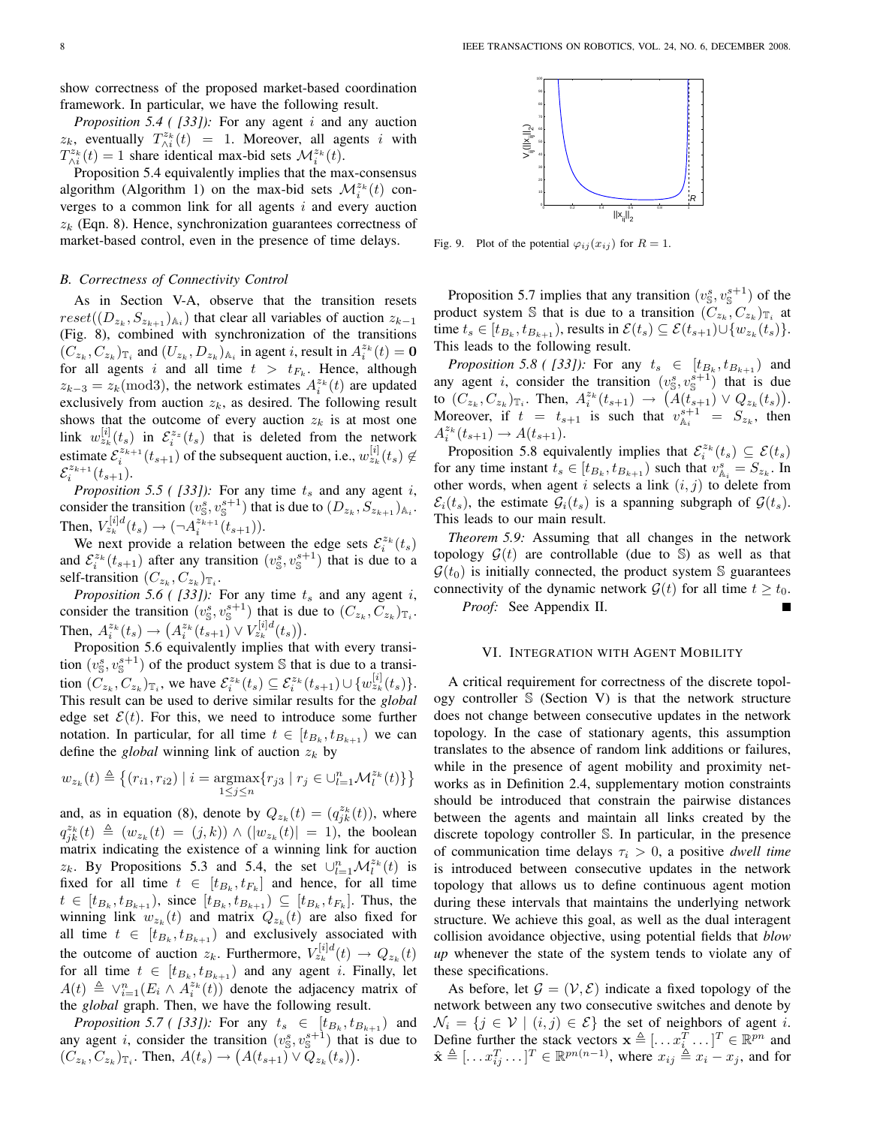show correctness of the proposed market-based coordination framework. In particular, we have the following result.

*Proposition 5.4 ( [33]):* For any agent i and any auction  $z_k$ , eventually  $T_{\wedge i}^{z_k}(t) = 1$ . Moreover, all agents i with  $T_{\wedge i}^{z_k}(t) = 1$  share identical max-bid sets  $\mathcal{M}_i^{z_k}(t)$ .

Proposition 5.4 equivalently implies that the max-consensus algorithm (Algorithm 1) on the max-bid sets  $\mathcal{M}^{z_k}_i(t)$  converges to a common link for all agents  $i$  and every auction  $z_k$  (Eqn. 8). Hence, synchronization guarantees correctness of market-based control, even in the presence of time delays.

## *B. Correctness of Connectivity Control*

As in Section V-A, observe that the transition resets  $reset((D_{z_k}, S_{z_{k+1}})_{\mathbb{A}_i})$  that clear all variables of auction  $z_{k-1}$ (Fig. 8), combined with synchronization of the transitions  $(C_{z_k}, C_{z_k})_{\mathbb{T}_i}$  and  $(U_{z_k}, D_{z_k})_{\mathbb{A}_i}$  in agent *i*, result in  $A_i^{z_k}(t) = \mathbf{0}$ for all agents i and all time  $t > t_{F_k}$ . Hence, although  $z_{k-3} = z_k \text{ (mod 3)}$ , the network estimates  $A_i^{z_k}(t)$  are updated exclusively from auction  $z_k$ , as desired. The following result shows that the outcome of every auction  $z_k$  is at most one link  $w_{z_k}^{[i]}(t_s)$  in  $\mathcal{E}_i^{z_z}(t_s)$  that is deleted from the network estimate  $\mathcal{E}_i^{z_{k+1}}(t_{s+1})$  of the subsequent auction, i.e.,  $w_{z_k}^{[i]}(t_s) \notin$  $\mathcal{E}_{i}^{z_{k+1}}(t_{s+1}).$ 

*Proposition 5.5 ( [33]):* For any time  $t_s$  and any agent i, consider the transition  $(v_s^s, v_s^{s+1})$  that is due to  $(D_{z_k}, S_{z_{k+1}})_{\mathbb{A}_i}$ . Then,  $V_{z_k}^{[i]d}(t_s) \rightarrow (\neg A_i^{z_{k+1}}(t_{s+1})).$ 

We next provide a relation between the edge sets  $\mathcal{E}_i^{z_k}(t_s)$ and  $\mathcal{E}_i^{z_k}(t_{s+1})$  after any transition  $(v_s^s, v_s^{s+1})$  that is due to a self-transition  $(C_{z_k}, C_{z_k})_{\mathbb{T}_i}$ .

*Proposition 5.6 ( [33]):* For any time  $t_s$  and any agent i, consider the transition  $(v_{\mathbb{S}}^s, v_{\mathbb{S}}^{s+1})$  that is due to  $(C_{z_k}, C_{z_k})_{\mathbb{T}_i}$ . Then,  $A_i^{z_k}(t_s) \to (A_i^{z_k}(t_{s+1}) \vee V_{z_k}^{[i]d}(t_s)).$ 

Proposition 5.6 equivalently implies that with every transition  $(v_s^s, v_s^{s+1})$  of the product system S that is due to a transition  $(C_{z_k}, C_{z_k})_{\mathbb{T}_i}$ , we have  $\mathcal{E}_i^{z_k}(t_s) \subseteq \mathcal{E}_i^{z_k}(t_{s+1}) \cup \{w_{z_k}^{[i]}(t_s)\}.$ This result can be used to derive similar results for the *global* edge set  $\mathcal{E}(t)$ . For this, we need to introduce some further notation. In particular, for all time  $t \in [t_{B_k}, t_{B_{k+1}})$  we can define the *global* winning link of auction  $z_k$  by

$$
w_{z_k}(t) \triangleq \left\{ (r_{i1}, r_{i2}) \mid i = \underset{1 \le j \le n}{\text{argmax}} \{ r_{j3} \mid r_j \in \bigcup_{l=1}^n \mathcal{M}_l^{z_k}(t) \} \right\}
$$

and, as in equation (8), denote by  $Q_{z_k}(t) = (q_{jk}^{z_k}(t))$ , where  $q_{jk}^{z_k}(t) \triangleq (w_{z_k}(t) = (j,k)) \wedge (|w_{z_k}(t)| = 1)$ , the boolean matrix indicating the existence of a winning link for auction  $z_k$ . By Propositions 5.3 and 5.4, the set  $\bigcup_{l=1}^n \mathcal{M}_l^{z_k}(t)$  is fixed for all time  $t \in [t_{B_k}, t_{F_k}]$  and hence, for all time  $t \in [t_{B_k}, t_{B_{k+1}}),$  since  $[t_{B_k}, t_{B_{k+1}}) \subseteq [t_{B_k}, t_{F_k}]$ . Thus, the winning link  $w_{z_k}(t)$  and matrix  $Q_{z_k}(t)$  are also fixed for all time  $t \in [t_{B_k}, t_{B_{k+1}})$  and exclusively associated with the outcome of auction  $z_k$ . Furthermore,  $V_{z_k}^{[i]d}(t) \rightarrow Q_{z_k}(t)$ for all time  $t \in [t_{B_k}, t_{B_{k+1}})$  and any agent *i*. Finally, let  $A(t) \triangleq \vee_{i=1}^{n} (E_i \wedge A_i^{z_k}(t))$  denote the adjacency matrix of the *global* graph. Then, we have the following result.

*Proposition 5.7 ( [33]):* For any  $t_s \in [t_{B_k}, t_{B_{k+1}})$  and any agent *i*, consider the transition  $(v_s^s, v_s^{s+1})$  that is due to  $(C_{z_k}, C_{z_k})_{\mathbb{T}_i}$ . Then,  $A(t_s) \to (A(t_{s+1}) \vee Q_{z_k}(t_s)).$ 



Fig. 9. Plot of the potential  $\varphi_{ij}(x_{ij})$  for  $R = 1$ .

Proposition 5.7 implies that any transition  $(v_s^s, v_s^{s+1})$  of the product system S that is due to a transition  $(C_{z_k}, C_{z_k})_{T_i}$  at time  $t_s \in [t_{B_k}, t_{B_{k+1}})$ , results in  $\mathcal{E}(t_s) \subseteq \mathcal{E}(t_{s+1}) \cup \{w_{z_k}(t_s)\}.$ This leads to the following result.

*Proposition 5.8 ( [33]):* For any  $t_s \in [t_{B_k}, t_{B_{k+1}})$  and any agent *i*, consider the transition  $(v_s^s, v_s^{s+1})$  that is due to  $(C_{z_k}, C_{z_k})_{\mathbb{T}_i}$ . Then,  $A_i^{z_k}(t_{s+1}) \to (A(t_{s+1}) \vee Q_{z_k}(t_s)).$ Moreover, if  $t = t_{s+1}$  is such that  $v_{A_i}^{s+1} = S_{z_k}$ , then  $A_i^{z_k}(t_{s+1}) \to A(t_{s+1}).$ 

Proposition 5.8 equivalently implies that  $\mathcal{E}_i^{z_k}(t_s) \subseteq \mathcal{E}(t_s)$ for any time instant  $t_s \in [t_{B_k}, t_{B_{k+1}})$  such that  $v_{A_i}^s = S_{z_k}$ . In other words, when agent i selects a link  $(i, j)$  to delete from  $\mathcal{E}_i(t_s)$ , the estimate  $\mathcal{G}_i(t_s)$  is a spanning subgraph of  $\mathcal{G}(t_s)$ . This leads to our main result.

*Theorem 5.9:* Assuming that all changes in the network topology  $\mathcal{G}(t)$  are controllable (due to S) as well as that  $\mathcal{G}(t_0)$  is initially connected, the product system S guarantees connectivity of the dynamic network  $\mathcal{G}(t)$  for all time  $t > t_0$ . *Proof:* See Appendix II.

#### VI. INTEGRATION WITH AGENT MOBILITY

A critical requirement for correctness of the discrete topology controller S (Section V) is that the network structure does not change between consecutive updates in the network topology. In the case of stationary agents, this assumption translates to the absence of random link additions or failures, while in the presence of agent mobility and proximity networks as in Definition 2.4, supplementary motion constraints should be introduced that constrain the pairwise distances between the agents and maintain all links created by the discrete topology controller S. In particular, in the presence of communication time delays  $\tau_i > 0$ , a positive *dwell time* is introduced between consecutive updates in the network topology that allows us to define continuous agent motion during these intervals that maintains the underlying network structure. We achieve this goal, as well as the dual interagent collision avoidance objective, using potential fields that *blow up* whenever the state of the system tends to violate any of these specifications.

As before, let  $\mathcal{G} = (\mathcal{V}, \mathcal{E})$  indicate a fixed topology of the network between any two consecutive switches and denote by  $\mathcal{N}_i = \{j \in \mathcal{V} \mid (i, j) \in \mathcal{E}\}\$  the set of neighbors of agent i. Define further the stack vectors  $\mathbf{x} \triangleq [...x_i^T...]^T \in \mathbb{R}^{pn}$  and  $\hat{\mathbf{x}} \triangleq [...x_{ij}^T...]^T \in \mathbb{R}^{pn(n-1)}$ , where  $x_{ij} \triangleq x_i - x_j$ , and for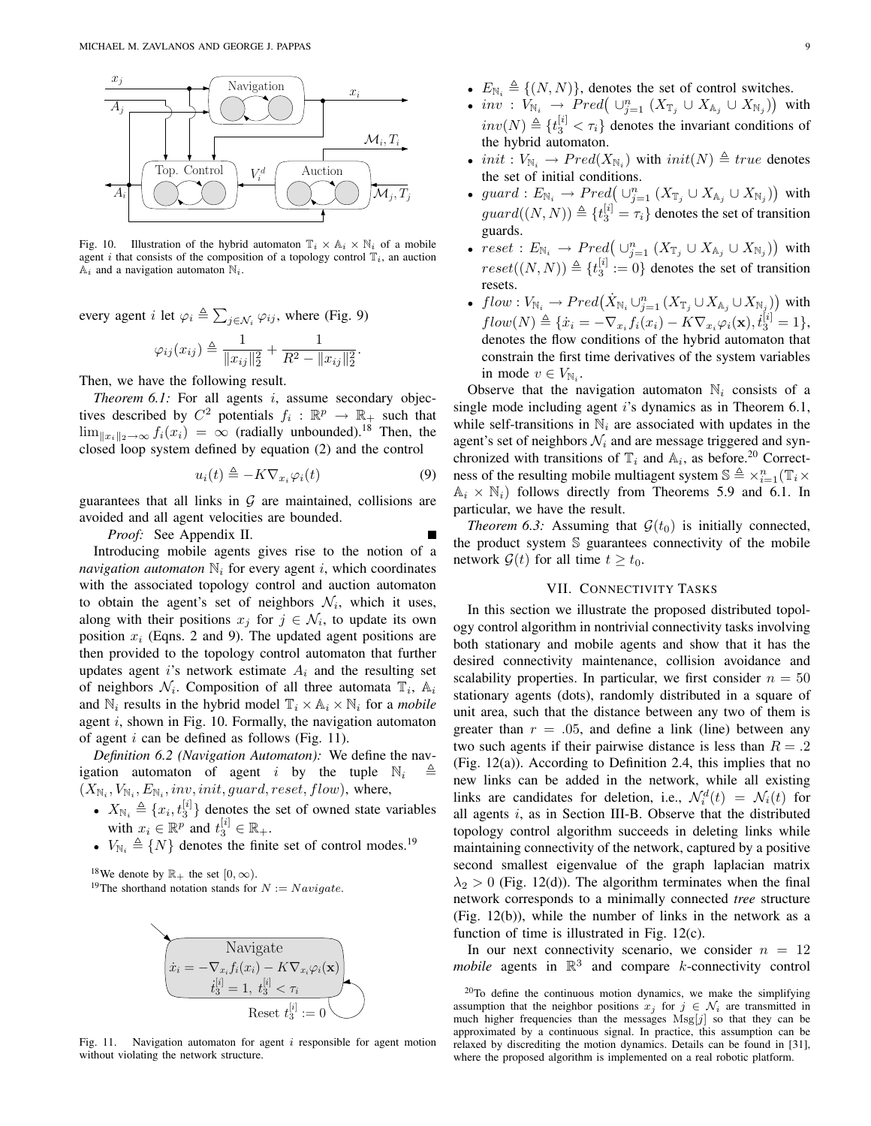

Fig. 10. Illustration of the hybrid automaton  $\mathbb{T}_i \times \mathbb{A}_i \times \mathbb{N}_i$  of a mobile agent i that consists of the composition of a topology control  $\mathbb{T}_i$ , an auction  $A_i$  and a navigation automaton  $N_i$ .

every agent *i* let  $\varphi_i \triangleq \sum$  $j \in \mathcal{N}_i \varphi_{ij}$ , where (Fig. 9)

$$
\varphi_{ij}(x_{ij}) \triangleq \frac{1}{\|x_{ij}\|_2^2} + \frac{1}{R^2 - \|x_{ij}\|_2^2}.
$$

Then, we have the following result.

*Theorem 6.1:* For all agents i, assume secondary objectives described by  $C^2$  potentials  $f_i : \mathbb{R}^p \to \mathbb{R}_+$  such that  $\lim_{||x||_2\to\infty} f_i(x_i) = \infty$  (radially unbounded).<sup>18</sup> Then, the closed loop system defined by equation (2) and the control

$$
u_i(t) \triangleq -K \nabla_{x_i} \varphi_i(t) \tag{9}
$$

guarantees that all links in  $G$  are maintained, collisions are avoided and all agent velocities are bounded.

*Proof:* See Appendix II.

Introducing mobile agents gives rise to the notion of a *navigation automaton*  $\mathbb{N}_i$  for every agent *i*, which coordinates with the associated topology control and auction automaton to obtain the agent's set of neighbors  $\mathcal{N}_i$ , which it uses, along with their positions  $x_j$  for  $j \in \mathcal{N}_i$ , to update its own position  $x_i$  (Eqns. 2 and 9). The updated agent positions are then provided to the topology control automaton that further updates agent i's network estimate  $A_i$  and the resulting set of neighbors  $\mathcal{N}_i$ . Composition of all three automata  $\mathbb{T}_i$ ,  $\mathbb{A}_i$ and  $\mathbb{N}_i$  results in the hybrid model  $\mathbb{T}_i \times \mathbb{A}_i \times \mathbb{N}_i$  for a *mobile* agent  $i$ , shown in Fig. 10. Formally, the navigation automaton of agent  $i$  can be defined as follows (Fig. 11).

*Definition 6.2 (Navigation Automaton):* We define the navigation automaton of agent i by the tuple  $\mathbb{N}_i$  $(X_{\mathbb{N}_i}, V_{\mathbb{N}_i}, E_{\mathbb{N}_i}, inv, init, guard, reset, flow)$ , where,

- $X_{\mathbb{N}_i} \triangleq \{x_i, t_3^{[i]}\}\)$  denotes the set of owned state variables with  $x_i \in \mathbb{R}^p$  and  $t_3^{[i]} \in \mathbb{R}_+$ .
- $V_{\mathbb{N}_i} \triangleq \{N\}$  denotes the finite set of control modes.<sup>19</sup>

<sup>18</sup>We denote by  $\mathbb{R}_+$  the set  $[0, \infty)$ .

<sup>19</sup>The shorthand notation stands for  $N := Navigate$ .



Fig. 11. Navigation automaton for agent  $i$  responsible for agent motion without violating the network structure.

- $E_{\text{N}_i} = \{(N, N)\}\,$ , denotes the set or control switches.<br>•  $inv: V_{\text{N}_i} \to Pred\left(\cup_{j=1}^n (X_{\mathbb{T}_j} \cup X_{\mathbb{A}_j} \cup X_{\text{N}_j})\right)$  with  $inv(N) \triangleq \{t_3^{[i]} < \tau_i\}$  denotes the invariant conditions of the hybrid automaton.
- *init* :  $V_{\mathbb{N}_i} \to Pred(X_{\mathbb{N}_i})$  with  $init(N) \triangleq true$  denotes the set of initial conditions. ¢
- guard :  $E_{\mathbb{N}_i} \to Pred \left( \bigcup_{j=1}^n (X_{\mathbb{T}_j} \cup X_{\mathbb{A}_j} \cup X_{\mathbb{N}_j}) \right)$ with  $guard((N, N)) \triangleq \{t_3^{[i]} = \tau_i\}$  denotes the set of transition guards. ¢
- $reset : E_{\mathbb{N}_i} \rightarrow Pred\left(\cup_{j=1}^n (X_{\mathbb{T}_j} \cup X_{\mathbb{A}_j} \cup X_{\mathbb{N}_j}\right))$ with  $reset((N, N)) \triangleq \{t_3^{[i]} := 0\}$  denotes the set of transition resets. ¢
- flow :  $V_{\mathbb{N}_i} \to Pred(\dot{X}_{\mathbb{N}_i} \cup_{j=1}^n (X_{\mathbb{T}_j} \cup X_{\mathbb{A}_j} \cup X_{\mathbb{N}_j}))$ with  $flow(N) \triangleq {\hat{x}_i = -\nabla_{x_i}f_i(x_i) - K\nabla_{x_i}\varphi_i(\mathbf{x}), \dot{t}_3^{[i]} = 1},$ denotes the flow conditions of the hybrid automaton that constrain the first time derivatives of the system variables in mode  $v \in V_{\mathbb{N}_i}$ .

Observe that the navigation automaton  $\mathbb{N}_i$  consists of a single mode including agent  $i$ 's dynamics as in Theorem 6.1, while self-transitions in  $\mathbb{N}_i$  are associated with updates in the agent's set of neighbors  $\mathcal{N}_i$  and are message triggered and synchronized with transitions of  $\mathbb{T}_i$  and  $\mathbb{A}_i$ , as before.<sup>20</sup> Correctness of the resulting mobile multiagent system  $\mathbb{S} \triangleq \times_{i=1}^n (\mathbb{T}_i \times$  $\mathbb{A}_i \times \mathbb{N}_i$ ) follows directly from Theorems 5.9 and 6.1. In particular, we have the result.

*Theorem 6.3:* Assuming that  $G(t_0)$  is initially connected, the product system S guarantees connectivity of the mobile network  $\mathcal{G}(t)$  for all time  $t \geq t_0$ .

## VII. CONNECTIVITY TASKS

In this section we illustrate the proposed distributed topology control algorithm in nontrivial connectivity tasks involving both stationary and mobile agents and show that it has the desired connectivity maintenance, collision avoidance and scalability properties. In particular, we first consider  $n = 50$ stationary agents (dots), randomly distributed in a square of unit area, such that the distance between any two of them is greater than  $r = .05$ , and define a link (line) between any two such agents if their pairwise distance is less than  $R = .2$ (Fig. 12(a)). According to Definition 2.4, this implies that no new links can be added in the network, while all existing links are candidates for deletion, i.e.,  $\mathcal{N}_i^d(t) = \mathcal{N}_i(t)$  for all agents  $i$ , as in Section III-B. Observe that the distributed topology control algorithm succeeds in deleting links while maintaining connectivity of the network, captured by a positive second smallest eigenvalue of the graph laplacian matrix  $\lambda_2 > 0$  (Fig. 12(d)). The algorithm terminates when the final network corresponds to a minimally connected *tree* structure (Fig. 12(b)), while the number of links in the network as a function of time is illustrated in Fig. 12(c).

In our next connectivity scenario, we consider  $n = 12$ *mobile* agents in  $\mathbb{R}^3$  and compare *k*-connectivity control

<sup>20</sup>To define the continuous motion dynamics, we make the simplifying assumption that the neighbor positions  $x_j$  for  $j \in \mathcal{N}_i$  are transmitted in much higher frequencies than the messages  $Msg[j]$  so that they can be approximated by a continuous signal. In practice, this assumption can be relaxed by discrediting the motion dynamics. Details can be found in [31], where the proposed algorithm is implemented on a real robotic platform.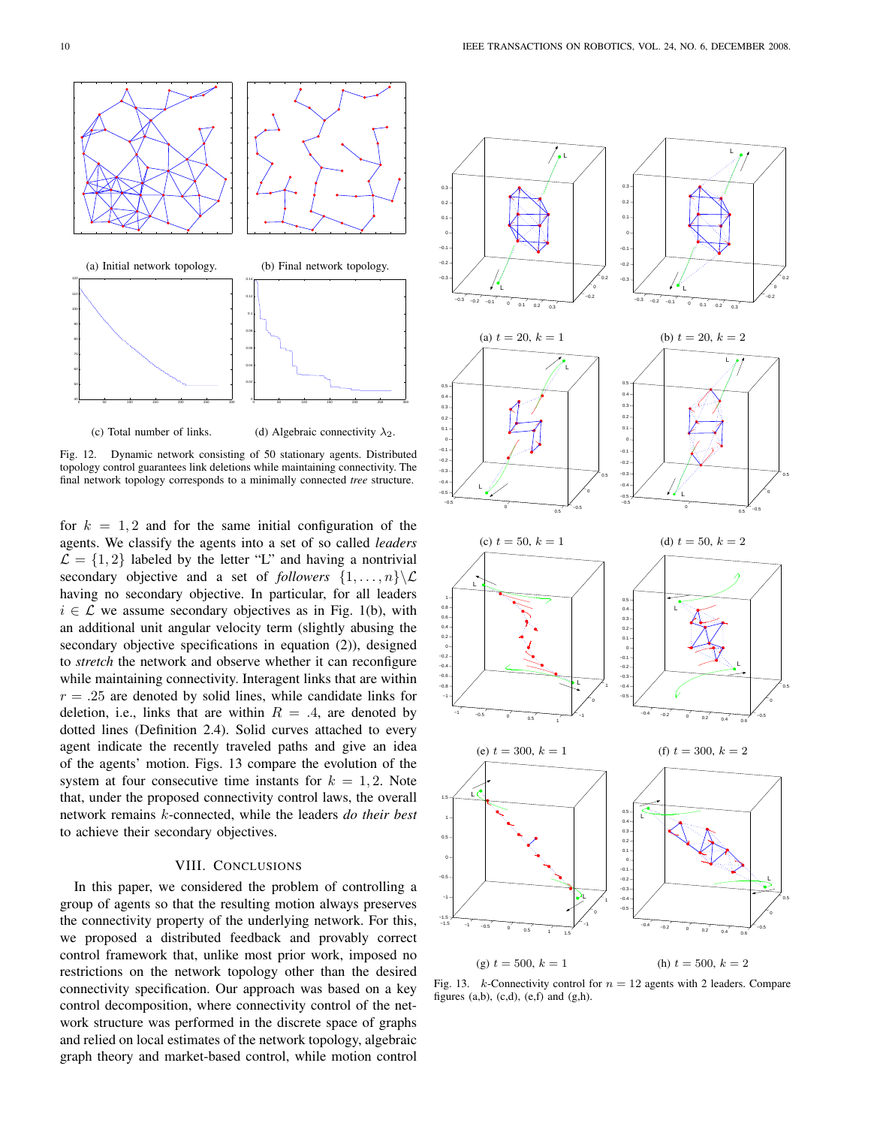

Fig. 12. Dynamic network consisting of 50 stationary agents. Distributed topology control guarantees link deletions while maintaining connectivity. The final network topology corresponds to a minimally connected *tree* structure.

for  $k = 1, 2$  and for the same initial configuration of the agents. We classify the agents into a set of so called *leaders*  $\mathcal{L} = \{1, 2\}$  labeled by the letter "L" and having a nontrivial secondary objective and a set of *followers*  $\{1, \ldots, n\} \setminus \mathcal{L}$ having no secondary objective. In particular, for all leaders  $i \in \mathcal{L}$  we assume secondary objectives as in Fig. 1(b), with an additional unit angular velocity term (slightly abusing the secondary objective specifications in equation (2)), designed to *stretch* the network and observe whether it can reconfigure while maintaining connectivity. Interagent links that are within  $r = .25$  are denoted by solid lines, while candidate links for deletion, i.e., links that are within  $R = .4$ , are denoted by dotted lines (Definition 2.4). Solid curves attached to every agent indicate the recently traveled paths and give an idea of the agents' motion. Figs. 13 compare the evolution of the system at four consecutive time instants for  $k = 1, 2$ . Note that, under the proposed connectivity control laws, the overall network remains k-connected, while the leaders *do their best* to achieve their secondary objectives.

## VIII. CONCLUSIONS

In this paper, we considered the problem of controlling a group of agents so that the resulting motion always preserves the connectivity property of the underlying network. For this, we proposed a distributed feedback and provably correct control framework that, unlike most prior work, imposed no restrictions on the network topology other than the desired connectivity specification. Our approach was based on a key control decomposition, where connectivity control of the network structure was performed in the discrete space of graphs and relied on local estimates of the network topology, algebraic graph theory and market-based control, while motion control



Fig. 13. *k*-Connectivity control for  $n = 12$  agents with 2 leaders. Compare figures  $(a,b)$ ,  $(c,d)$ ,  $(e,f)$  and  $(g,h)$ .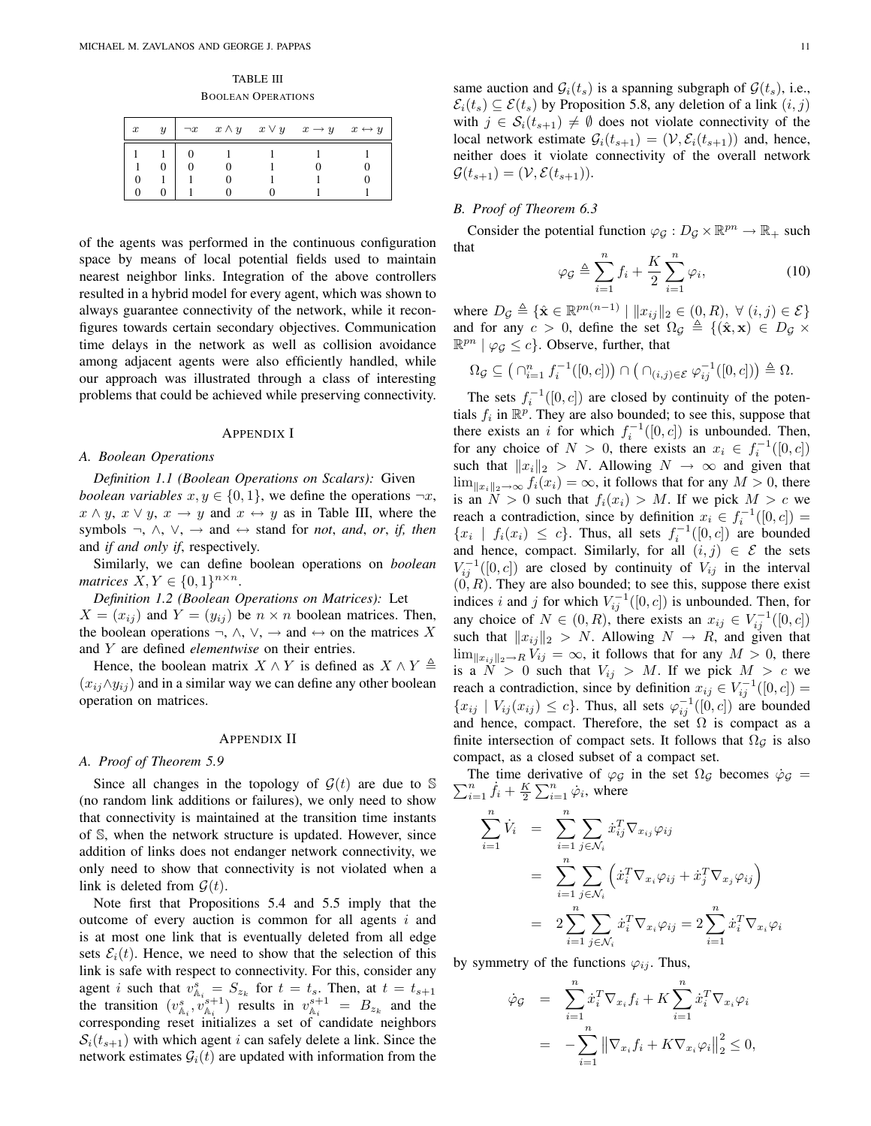TABLE III BOOLEAN OPERATIONS

| $\boldsymbol{x}$ | $\boldsymbol{\mathit{u}}$ |  | $\neg x \quad x \wedge y \quad x \vee y \quad x \rightarrow y \quad x \leftrightarrow y$ |  |
|------------------|---------------------------|--|------------------------------------------------------------------------------------------|--|
|                  |                           |  |                                                                                          |  |
|                  |                           |  |                                                                                          |  |
|                  |                           |  |                                                                                          |  |
|                  |                           |  |                                                                                          |  |

of the agents was performed in the continuous configuration space by means of local potential fields used to maintain nearest neighbor links. Integration of the above controllers resulted in a hybrid model for every agent, which was shown to always guarantee connectivity of the network, while it reconfigures towards certain secondary objectives. Communication time delays in the network as well as collision avoidance among adjacent agents were also efficiently handled, while our approach was illustrated through a class of interesting problems that could be achieved while preserving connectivity.

#### APPENDIX I

### *A. Boolean Operations*

*Definition 1.1 (Boolean Operations on Scalars):* Given *boolean variables*  $x, y \in \{0, 1\}$ , we define the operations  $\neg x$ ,  $x \wedge y$ ,  $x \vee y$ ,  $x \rightarrow y$  and  $x \leftrightarrow y$  as in Table III, where the symbols  $\neg$ ,  $\wedge$ ,  $\vee$ ,  $\rightarrow$  and  $\leftrightarrow$  stand for *not*, *and*, *or*, *if, then* and *if and only if*, respectively.

Similarly, we can define boolean operations on *boolean matrices*  $X, Y \in \{0, 1\}^{n \times n}$ .

*Definition 1.2 (Boolean Operations on Matrices):* Let  $X = (x_{ij})$  and  $Y = (y_{ij})$  be  $n \times n$  boolean matrices. Then, the boolean operations  $\neg$ ,  $\wedge$ ,  $\vee$ ,  $\rightarrow$  and  $\leftrightarrow$  on the matrices X and Y are defined *elementwise* on their entries.

Hence, the boolean matrix  $X \wedge Y$  is defined as  $X \wedge Y \triangleq$  $(x_{ij} \land y_{ij})$  and in a similar way we can define any other boolean operation on matrices.

#### APPENDIX II

### *A. Proof of Theorem 5.9*

Since all changes in the topology of  $G(t)$  are due to S (no random link additions or failures), we only need to show that connectivity is maintained at the transition time instants of S, when the network structure is updated. However, since addition of links does not endanger network connectivity, we only need to show that connectivity is not violated when a link is deleted from  $\mathcal{G}(t)$ .

Note first that Propositions 5.4 and 5.5 imply that the outcome of every auction is common for all agents  $i$  and is at most one link that is eventually deleted from all edge sets  $\mathcal{E}_i(t)$ . Hence, we need to show that the selection of this link is safe with respect to connectivity. For this, consider any agent *i* such that  $v_{\mathbb{A}_{i}}^{s} = S_{z_{k}}$  for  $t = t_{s}$ . Then, at  $t = t_{s+1}$ the transition  $(v_{\mathbb{A}_i}^s, v_{\mathbb{A}_i}^{s+1})$  results in  $v_{\mathbb{A}_i}^{s+1} = B_{z_k}$  and the corresponding reset initializes a set of candidate neighbors  $S_i(t_{s+1})$  with which agent i can safely delete a link. Since the network estimates  $G_i(t)$  are updated with information from the same auction and  $\mathcal{G}_i(t_s)$  is a spanning subgraph of  $\mathcal{G}(t_s)$ , i.e.,  $\mathcal{E}_i(t_s) \subseteq \mathcal{E}(t_s)$  by Proposition 5.8, any deletion of a link  $(i, j)$ with  $j \in S_i(t_{s+1}) \neq \emptyset$  does not violate connectivity of the local network estimate  $G_i(t_{s+1}) = (\mathcal{V}, \mathcal{E}_i(t_{s+1}))$  and, hence, neither does it violate connectivity of the overall network  $\mathcal{G}(t_{s+1}) = (\mathcal{V}, \mathcal{E}(t_{s+1})).$ 

# *B. Proof of Theorem 6.3*

Consider the potential function  $\varphi_{\mathcal{G}} : D_{\mathcal{G}} \times \mathbb{R}^{pn} \to \mathbb{R}_+$  such that

$$
\varphi_{\mathcal{G}} \triangleq \sum_{i=1}^{n} f_i + \frac{K}{2} \sum_{i=1}^{n} \varphi_i, \tag{10}
$$

where  $D_{\mathcal{G}} \triangleq \{ \hat{\mathbf{x}} \in \mathbb{R}^{pn(n-1)} \mid ||x_{ij}||_2 \in (0, R), \ \forall (i, j) \in \mathcal{E} \}$ and for any  $c > 0$ , define the set  $\Omega_{\mathcal{G}} \triangleq \{(\hat{\mathbf{x}}, \mathbf{x}) \in D_{\mathcal{G}} \times$  $\mathbb{R}^{pn} \mid \varphi_{\mathcal{G}} \leq c$ . Observe, further, that

$$
\Omega_{\mathcal{G}} \subseteq \left( \bigcap_{i=1}^n f_i^{-1}([0,c]) \right) \cap \left( \bigcap_{(i,j)\in \mathcal{E}} \varphi_{ij}^{-1}([0,c]) \right) \triangleq \Omega.
$$

The sets  $f_i^{-1}([0, c])$  are closed by continuity of the potentials  $f_i$  in  $\mathbb{R}^p$ . They are also bounded; to see this, suppose that there exists an i for which  $f_i^{-1}([0, c])$  is unbounded. Then, for any choice of  $N > 0$ , there exists an  $x_i \in f_i^{-1}([0, c])$ such that  $||x_i||_2 > N$ . Allowing  $N \to \infty$  and given that  $\lim_{\|x_i\|_2\to\infty} f_i(x_i) = \infty$ , it follows that for any  $M > 0$ , there is an  $N > 0$  such that  $f_i(x_i) > M$ . If we pick  $M > c$  we reach a contradiction, since by definition  $x_i \in f_i^{-1}([0, c]) =$  ${x_i | f_i(x_i) \leq c}$ . Thus, all sets  $f_i^{-1}([0, c])$  are bounded and hence, compact. Similarly, for all  $(i, j) \in \mathcal{E}$  the sets  $V_{ij}^{-1}([0, c])$  are closed by continuity of  $V_{ij}$  in the interval  $(0, R)$ . They are also bounded; to see this, suppose there exist indices i and j for which  $V_{ij}^{-1}([0, c])$  is unbounded. Then, for any choice of  $N \in (0, R)$ , there exists an  $x_{ij} \in V_{ij}^{-1}([0, c])$ such that  $||x_{ij}||_2 > N$ . Allowing  $N \rightarrow R$ , and given that  $\lim_{\|x_{ij}\|_2\to R} V_{ij} = \infty$ , it follows that for any  $M > 0$ , there is a  $N > 0$  such that  $V_{ij} > M$ . If we pick  $M > c$  we reach a contradiction, since by definition  $x_{ij} \in V_{ij}^{-1}([0, c]) =$  $\{x_{ij} | V_{ij}(x_{ij}) \leq c\}$ . Thus, all sets  $\varphi_{ij}^{-1}([0, c])$  are bounded and hence, compact. Therefore, the set  $\Omega$  is compact as a finite intersection of compact sets. It follows that  $\Omega_G$  is also compact, as a closed subset of a compact set.

The time of  $\sum_{i=1}^n \dot{f}_i + \frac{K}{2}$ The time derivative of  $\varphi_{\mathcal{G}}$  in the set  $\Omega_{\mathcal{G}}$  becomes  $\dot{\varphi}_{\mathcal{G}} =$ erivative of  $\varphi_g$ <br> $\sum_{i=1}^n \dot{\varphi}_i$ , where

$$
\sum_{i=1}^{n} \dot{V}_i = \sum_{i=1}^{n} \sum_{j \in \mathcal{N}_i} \dot{x}_{ij}^T \nabla_{x_{ij}} \varphi_{ij}
$$
  
= 
$$
\sum_{i=1}^{n} \sum_{j \in \mathcal{N}_i} \left( \dot{x}_i^T \nabla_{x_i} \varphi_{ij} + \dot{x}_j^T \nabla_{x_j} \varphi_{ij} \right)
$$
  
= 
$$
2 \sum_{i=1}^{n} \sum_{j \in \mathcal{N}_i} \dot{x}_i^T \nabla_{x_i} \varphi_{ij} = 2 \sum_{i=1}^{n} \dot{x}_i^T \nabla_{x_i} \varphi_i
$$

by symmetry of the functions  $\varphi_{ij}$ . Thus,

$$
\begin{aligned}\n\dot{\varphi}_{\mathcal{G}} &= \sum_{i=1}^{n} \dot{x}_i^T \nabla_{x_i} f_i + K \sum_{i=1}^{n} \dot{x}_i^T \nabla_{x_i} \varphi_i \\
&= - \sum_{i=1}^{n} \left\| \nabla_{x_i} f_i + K \nabla_{x_i} \varphi_i \right\|_2^2 \leq 0,\n\end{aligned}
$$